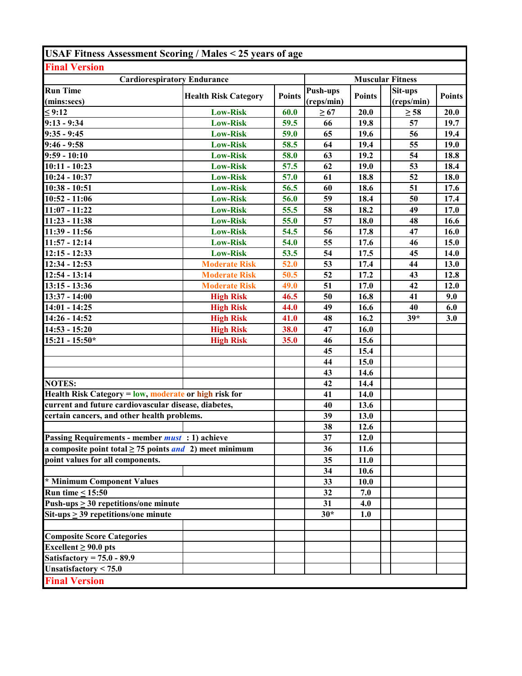| <b>USAF Fitness Assessment Scoring / Males &lt; 25 years of age</b> |                             |               |            |                         |            |               |  |  |
|---------------------------------------------------------------------|-----------------------------|---------------|------------|-------------------------|------------|---------------|--|--|
| <b>Final Version</b>                                                |                             |               |            |                         |            |               |  |  |
| <b>Cardiorespiratory Endurance</b>                                  |                             |               |            | <b>Muscular Fitness</b> |            |               |  |  |
| <b>Run Time</b>                                                     | <b>Health Risk Category</b> | <b>Points</b> | Push-ups   | <b>Points</b>           | Sit-ups    | <b>Points</b> |  |  |
| (mins:secs)                                                         |                             |               | (reps/min) |                         | (reps/min) |               |  |  |
| $\leq 9:12$                                                         | <b>Low-Risk</b>             | 60.0          | $\geq 67$  | 20.0                    | $\geq 58$  | 20.0          |  |  |
| $9:13 - 9:34$                                                       | <b>Low-Risk</b>             | 59.5          | 66         | 19.8                    | 57         | 19.7          |  |  |
| $9:35 - 9:45$                                                       | <b>Low-Risk</b>             | 59.0          | 65         | 19.6                    | 56         | 19.4          |  |  |
| $9:46 - 9:58$                                                       | <b>Low-Risk</b>             | 58.5          | 64         | 19.4                    | 55         | 19.0          |  |  |
| $9:59 - 10:10$                                                      | <b>Low-Risk</b>             | 58.0          | 63         | 19.2                    | 54         | 18.8          |  |  |
| $10:11 - 10:23$                                                     | <b>Low-Risk</b>             | 57.5          | 62         | 19.0                    | 53         | 18.4          |  |  |
| 10:24 - 10:37                                                       | <b>Low-Risk</b>             | 57.0          | 61         | 18.8                    | 52         | 18.0          |  |  |
| $10:38 - 10:51$                                                     | <b>Low-Risk</b>             | 56.5          | 60         | 18.6                    | 51         | 17.6          |  |  |
| $10:52 - 11:06$                                                     | <b>Low-Risk</b>             | 56.0          | 59         | 18.4                    | 50         | 17.4          |  |  |
| $11:07 - 11:22$                                                     | <b>Low-Risk</b>             | 55.5          | 58         | 18.2                    | 49         | 17.0          |  |  |
| 11:23 - 11:38                                                       | <b>Low-Risk</b>             | 55.0          | 57         | 18.0                    | 48         | 16.6          |  |  |
| 11:39 - 11:56                                                       | <b>Low-Risk</b>             | 54.5          | 56         | 17.8                    | 47         | 16.0          |  |  |
| $11:57 - 12:14$                                                     | <b>Low-Risk</b>             | 54.0          | 55         | 17.6                    | 46         | 15.0          |  |  |
| $\overline{12:15}$ - 12:33                                          | <b>Low-Risk</b>             | 53.5          | 54         | 17.5                    | 45         | 14.0          |  |  |
| $12:34 - 12:53$                                                     | <b>Moderate Risk</b>        | 52.0          | 53         | 17.4                    | 44         | 13.0          |  |  |
| $12:54 - 13:14$                                                     | <b>Moderate Risk</b>        | 50.5          | 52         | 17.2                    | 43         | 12.8          |  |  |
| $13:15 - 13:36$                                                     | <b>Moderate Risk</b>        | 49.0          | 51         | 17.0                    | 42         | 12.0          |  |  |
| $13:37 - 14:00$                                                     | <b>High Risk</b>            | 46.5          | 50         | 16.8                    | 41         | 9.0           |  |  |
| $14:01 - 14:25$                                                     | <b>High Risk</b>            | 44.0          | 49         | 16.6                    | 40         | 6.0           |  |  |
| 14:26 - 14:52                                                       | <b>High Risk</b>            | 41.0          | 48         | 16.2                    | $39*$      | 3.0           |  |  |
| $14:53 - 15:20$                                                     | <b>High Risk</b>            | 38.0          | 47         | 16.0                    |            |               |  |  |
| $15:21 - 15:50*$                                                    | <b>High Risk</b>            | 35.0          | 46         | 15.6                    |            |               |  |  |
|                                                                     |                             |               | 45         | 15.4                    |            |               |  |  |
|                                                                     |                             |               | 44         | 15.0                    |            |               |  |  |
|                                                                     |                             |               | 43         | 14.6                    |            |               |  |  |
| <b>NOTES:</b>                                                       |                             |               | 42         | 14.4                    |            |               |  |  |
| Health Risk Category = low, moderate or high risk for               |                             |               | 41         | 14.0                    |            |               |  |  |
| current and future cardiovascular disease, diabetes,                |                             |               | 40         | 13.6                    |            |               |  |  |
| certain cancers, and other health problems.                         |                             |               | 39         | 13.0                    |            |               |  |  |
|                                                                     |                             |               | 38         | 12.6                    |            |               |  |  |
| Passing Requirements - member <i>must</i> : 1) achieve              |                             |               | 37         | 12.0                    |            |               |  |  |
| a composite point total $\geq$ 75 points <i>and</i> 2) meet minimum |                             |               | 36         | 11.6                    |            |               |  |  |
| point values for all components.                                    |                             |               | 35         | 11.0                    |            |               |  |  |
|                                                                     |                             |               | 34         | 10.6                    |            |               |  |  |
| * Minimum Component Values                                          |                             |               | 33         | <b>10.0</b>             |            |               |  |  |
| Run time $\leq 15:50$                                               |                             |               | 32         | 7.0                     |            |               |  |  |
| Push-ups $\geq$ 30 repetitions/one minute                           |                             |               | 31         | 4.0                     |            |               |  |  |
| $Sit-ups > 39$ repetitions/one minute                               |                             |               | $30*$      | 1.0                     |            |               |  |  |
| <b>Composite Score Categories</b>                                   |                             |               |            |                         |            |               |  |  |
| Excellent $\geq 90.0$ pts                                           |                             |               |            |                         |            |               |  |  |
| Satisfactory = $75.0 - 89.9$                                        |                             |               |            |                         |            |               |  |  |
| Unsatisfactory $< 75.0$                                             |                             |               |            |                         |            |               |  |  |
| <b>Final Version</b>                                                |                             |               |            |                         |            |               |  |  |
|                                                                     |                             |               |            |                         |            |               |  |  |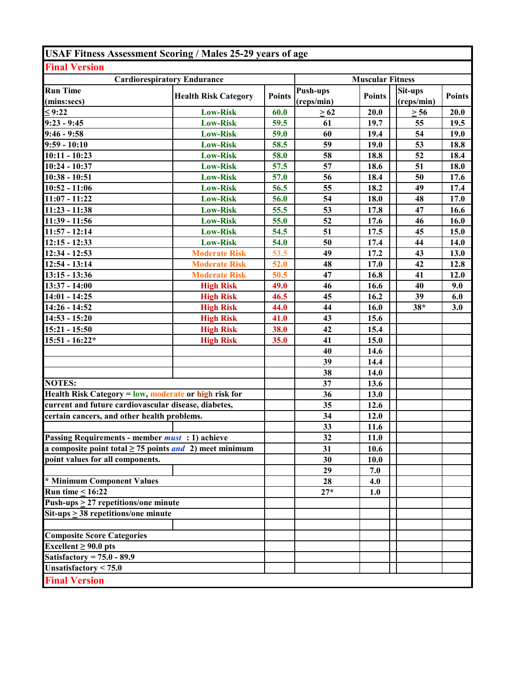| <b>USAF Fitness Assessment Scoring / Males 25-29 years of age</b>   |                             |               |                 |                         |            |               |
|---------------------------------------------------------------------|-----------------------------|---------------|-----------------|-------------------------|------------|---------------|
| <b>Final Version</b>                                                |                             |               |                 |                         |            |               |
| <b>Cardiorespiratory Endurance</b>                                  |                             |               |                 | <b>Muscular Fitness</b> |            |               |
| <b>Run Time</b>                                                     |                             |               | <b>Push-ups</b> |                         | Sit-ups    |               |
| (mins:secs)                                                         | <b>Health Risk Category</b> | <b>Points</b> | (reps/min)      | <b>Points</b>           | (reps/min) | <b>Points</b> |
| $\leq 9:22$                                                         | <b>Low-Risk</b>             | 60.0          | $\geq 62$       | 20.0                    | $\geq 56$  | 20.0          |
| $9:23 - 9:45$                                                       | <b>Low-Risk</b>             | 59.5          | 61              | 19.7                    | 55         | 19.5          |
| $9:46 - 9:58$                                                       | <b>Low-Risk</b>             | 59.0          | 60              | 19.4                    | 54         | 19.0          |
| $9:59 - 10:10$                                                      | <b>Low-Risk</b>             | 58.5          | 59              | 19.0                    | 53         | 18.8          |
| $10:11 - 10:23$                                                     | <b>Low-Risk</b>             | 58.0          | 58              | 18.8                    | 52         | 18.4          |
| $10:24 - 10:37$                                                     | <b>Low-Risk</b>             | 57.5          | 57              | 18.6                    | 51         | 18.0          |
| $10:38 - 10:51$                                                     | <b>Low-Risk</b>             | 57.0          | 56              | 18.4                    | 50         | 17.6          |
| $10:52 - 11:06$                                                     | <b>Low-Risk</b>             | 56.5          | 55              | 18.2                    | 49         | 17.4          |
| $11:07 - 11:22$                                                     | <b>Low-Risk</b>             | 56.0          | 54              | 18.0                    | 48         | 17.0          |
| $11:23 - 11:38$                                                     | <b>Low-Risk</b>             | 55.5          | 53              | 17.8                    | 47         | 16.6          |
| $11:39 - 11:56$                                                     | <b>Low-Risk</b>             | 55.0          | 52              | 17.6                    | 46         | 16.0          |
| $11:57 - 12:14$                                                     | <b>Low-Risk</b>             | 54.5          | 51              | 17.5                    | 45         | 15.0          |
| $12:15 - 12:33$                                                     | <b>Low-Risk</b>             | 54.0          | 50              | 17.4                    | 44         | 14.0          |
| 12:34 - 12:53                                                       | <b>Moderate Risk</b>        | 53.5          | 49              | 17.2                    | 43         | 13.0          |
| $12:54 - 13:14$                                                     | <b>Moderate Risk</b>        | 52.0          | 48              | 17.0                    | 42         | 12.8          |
| $13:15 - 13:36$                                                     | <b>Moderate Risk</b>        | 50.5          | 47              | 16.8                    | 41         | 12.0          |
| 13:37 - 14:00                                                       | <b>High Risk</b>            | 49.0          | 46              | 16.6                    | 40         | 9.0           |
| $14:01 - 14:25$                                                     | <b>High Risk</b>            | 46.5          | 45              | 16.2                    | 39         | 6.0           |
| 14:26 - 14:52                                                       | <b>High Risk</b>            | 44.0          | 44              | 16.0                    | $38*$      | 3.0           |
| $14:53 - 15:20$                                                     | <b>High Risk</b>            | 41.0          | 43              | 15.6                    |            |               |
| 15:21 - 15:50                                                       | <b>High Risk</b>            | 38.0          | 42              | 15.4                    |            |               |
| $15:51 - 16:22*$                                                    | <b>High Risk</b>            | 35.0          | 41              | 15.0                    |            |               |
|                                                                     |                             |               | 40              | 14.6                    |            |               |
|                                                                     |                             |               | 39              | 14.4                    |            |               |
|                                                                     |                             |               | 38              | 14.0                    |            |               |
| <b>NOTES:</b>                                                       |                             |               | 37              | 13.6                    |            |               |
| Health Risk Category = low, moderate or high risk for               |                             |               | 36              | 13.0                    |            |               |
| current and future cardiovascular disease, diabetes,                |                             |               | 35              | 12.6                    |            |               |
| certain cancers, and other health problems.                         |                             |               | 34              | 12.0                    |            |               |
|                                                                     |                             |               | 33              | 11.6                    |            |               |
| Passing Requirements - member <i>must</i> : 1) achieve              |                             |               | 32              | 11.0                    |            |               |
| a composite point total $\geq$ 75 points <i>and</i> 2) meet minimum |                             |               | 31              | 10.6                    |            |               |
| point values for all components.                                    |                             |               | 30              | <b>10.0</b>             |            |               |
|                                                                     |                             |               | 29              | 7.0                     |            |               |
| * Minimum Component Values                                          |                             |               | 28              | 4.0                     |            |               |
| Run time $\leq 16:22$                                               |                             |               | $27*$           | 1.0                     |            |               |
| Push-ups $\geq$ 27 repetitions/one minute                           |                             |               |                 |                         |            |               |
| Sit-ups $\geq$ 38 repetitions/one minute                            |                             |               |                 |                         |            |               |
|                                                                     |                             |               |                 |                         |            |               |
| <b>Composite Score Categories</b>                                   |                             |               |                 |                         |            |               |
| Excellent $\geq 90.0$ pts                                           |                             |               |                 |                         |            |               |
| Satisfactory = $75.0 - 89.9$                                        |                             |               |                 |                         |            |               |
| Unsatisfactory $< 75.0$                                             |                             |               |                 |                         |            |               |
| <b>Final Version</b>                                                |                             |               |                 |                         |            |               |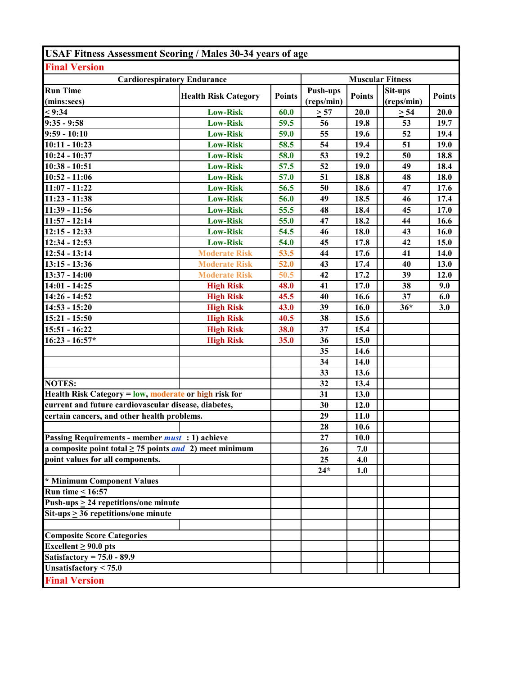| <b>USAF Fitness Assessment Scoring / Males 30-34 years of age</b>   |                             |               |                               |               |                       |               |  |
|---------------------------------------------------------------------|-----------------------------|---------------|-------------------------------|---------------|-----------------------|---------------|--|
| <b>Final Version</b>                                                |                             |               |                               |               |                       |               |  |
| <b>Cardiorespiratory Endurance</b>                                  |                             |               | <b>Muscular Fitness</b>       |               |                       |               |  |
| <b>Run Time</b><br>(mins:secs)                                      | <b>Health Risk Category</b> | <b>Points</b> | <b>Push-ups</b><br>(reps/min) | <b>Points</b> | Sit-ups<br>(reps/min) | <b>Points</b> |  |
| < 9:34                                                              | <b>Low-Risk</b>             | 60.0          | $\geq 57$                     | 20.0          | $\geq 54$             | 20.0          |  |
| $9:35 - 9:58$                                                       | <b>Low-Risk</b>             | 59.5          | 56                            | 19.8          | 53                    | 19.7          |  |
| $9:59 - 10:10$                                                      | <b>Low-Risk</b>             | 59.0          | 55                            | 19.6          | 52                    | 19.4          |  |
| $10:11 - 10:23$                                                     | <b>Low-Risk</b>             | 58.5          | 54                            | 19.4          | 51                    | 19.0          |  |
| 10:24 - 10:37                                                       | <b>Low-Risk</b>             | 58.0          | 53                            | 19.2          | 50                    | 18.8          |  |
| 10:38 - 10:51                                                       | <b>Low-Risk</b>             | 57.5          | 52                            | 19.0          | 49                    | 18.4          |  |
| $10:52 - 11:06$                                                     | <b>Low-Risk</b>             | 57.0          | 51                            | 18.8          | 48                    | 18.0          |  |
| $11:07 - 11:22$                                                     | <b>Low-Risk</b>             | 56.5          | 50                            | 18.6          | 47                    | 17.6          |  |
| $11:23 - 11:38$                                                     | <b>Low-Risk</b>             | 56.0          | 49                            | 18.5          | 46                    | 17.4          |  |
| 11:39 - 11:56                                                       | <b>Low-Risk</b>             | 55.5          | 48                            | 18.4          | 45                    | 17.0          |  |
| $11:57 - 12:14$                                                     | <b>Low-Risk</b>             | 55.0          | 47                            | 18.2          | 44                    | 16.6          |  |
| $12:15 - 12:33$                                                     | <b>Low-Risk</b>             | 54.5          | 46                            | 18.0          | 43                    | 16.0          |  |
| $\overline{12:}34 - 12:53$                                          | <b>Low-Risk</b>             | 54.0          | 45                            | 17.8          | 42                    | 15.0          |  |
| $12:54 - 13:14$                                                     | <b>Moderate Risk</b>        | 53.5          | 44                            | 17.6          | 41                    | 14.0          |  |
| $13:15 - 13:36$                                                     | <b>Moderate Risk</b>        | 52.0          | 43                            | 17.4          | 40                    | 13.0          |  |
| 13:37 - 14:00                                                       | <b>Moderate Risk</b>        | 50.5          | 42                            | 17.2          | 39                    | 12.0          |  |
| $14:01 - 14:25$                                                     | <b>High Risk</b>            | 48.0          | 41                            | 17.0          | 38                    | 9.0           |  |
| 14:26 - 14:52                                                       | <b>High Risk</b>            | 45.5          | 40                            | 16.6          | 37                    | 6.0           |  |
| $14:53 - 15:20$                                                     | <b>High Risk</b>            | 43.0          | 39                            | 16.0          | $36*$                 | 3.0           |  |
| $15:21 - 15:50$                                                     | <b>High Risk</b>            | 40.5          | 38                            | 15.6          |                       |               |  |
| 15:51 - 16:22                                                       | <b>High Risk</b>            | 38.0          | 37                            | 15.4          |                       |               |  |
| $16:23 - 16:57*$                                                    | <b>High Risk</b>            | 35.0          | 36                            | 15.0          |                       |               |  |
|                                                                     |                             |               | 35                            | 14.6          |                       |               |  |
|                                                                     |                             |               | 34                            | 14.0          |                       |               |  |
|                                                                     |                             |               | 33                            | 13.6          |                       |               |  |
| <b>NOTES:</b>                                                       |                             |               | 32                            | 13.4          |                       |               |  |
| Health Risk Category = low, moderate or high risk for               |                             |               | 31                            | 13.0          |                       |               |  |
| current and future cardiovascular disease, diabetes,                |                             |               | 30                            | 12.0          |                       |               |  |
| certain cancers, and other health problems.                         |                             |               | 29                            | 11.0          |                       |               |  |
|                                                                     |                             |               | 28                            | 10.6          |                       |               |  |
| Passing Requirements - member <i>must</i> : 1) achieve              |                             |               | 27                            | <b>10.0</b>   |                       |               |  |
| a composite point total $\geq$ 75 points <i>and</i> 2) meet minimum |                             |               | 26                            | 7.0           |                       |               |  |
| point values for all components.                                    |                             |               | 25                            | 4.0           |                       |               |  |
|                                                                     |                             |               | $24*$                         | 1.0           |                       |               |  |
| * Minimum Component Values<br>Run time < $16:57$                    |                             |               |                               |               |                       |               |  |
|                                                                     |                             |               |                               |               |                       |               |  |
| Push-ups $\geq$ 24 repetitions/one minute                           |                             |               |                               |               |                       |               |  |
| $\overline{\text{Sit-ups}} \geq 36$ repetitions/one minute          |                             |               |                               |               |                       |               |  |
|                                                                     |                             |               |                               |               |                       |               |  |
| <b>Composite Score Categories</b><br>Excellent $\geq 90.0$ pts      |                             |               |                               |               |                       |               |  |
| Satisfactory = $75.0 - 89.9$                                        |                             |               |                               |               |                       |               |  |
| Unsatisfactory $< 75.0$                                             |                             |               |                               |               |                       |               |  |
|                                                                     |                             |               |                               |               |                       |               |  |
| <b>Final Version</b>                                                |                             |               |                               |               |                       |               |  |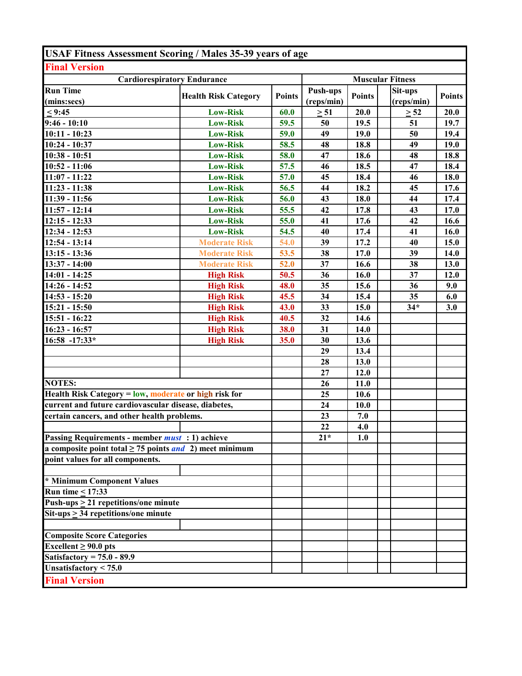| <b>USAF Fitness Assessment Scoring / Males 35-39 years of age</b> |                             |               |                               |               |                         |               |
|-------------------------------------------------------------------|-----------------------------|---------------|-------------------------------|---------------|-------------------------|---------------|
| <b>Final Version</b>                                              |                             |               |                               |               |                         |               |
| <b>Cardiorespiratory Endurance</b>                                |                             |               |                               |               | <b>Muscular Fitness</b> |               |
| <b>Run Time</b><br>(mins:secs)                                    | <b>Health Risk Category</b> | <b>Points</b> | <b>Push-ups</b><br>(reps/min) | <b>Points</b> | Sit-ups<br>(reps/min)   | <b>Points</b> |
| < 9:45                                                            | <b>Low-Risk</b>             | 60.0          | $\geq 51$                     | 20.0          | $\geq 52$               | 20.0          |
| $9:46 - 10:10$                                                    | <b>Low-Risk</b>             | 59.5          | 50                            | 19.5          | 51                      | 19.7          |
| $10:11 - 10:23$                                                   | <b>Low-Risk</b>             | 59.0          | 49                            | 19.0          | 50                      | 19.4          |
| 10:24 - 10:37                                                     | <b>Low-Risk</b>             | 58.5          | 48                            | 18.8          | 49                      | 19.0          |
| $10:38 - 10:51$                                                   | <b>Low-Risk</b>             | 58.0          | 47                            | 18.6          | 48                      | 18.8          |
| $10:52 - 11:06$                                                   | <b>Low-Risk</b>             | 57.5          | 46                            | 18.5          | 47                      | 18.4          |
| $11:07 - 11:22$                                                   | <b>Low-Risk</b>             | 57.0          | 45                            | 18.4          | 46                      | 18.0          |
| $11:23 - 11:38$                                                   | <b>Low-Risk</b>             | 56.5          | 44                            | 18.2          | 45                      | 17.6          |
| 11:39 - 11:56                                                     | <b>Low-Risk</b>             | 56.0          | 43                            | 18.0          | 44                      | 17.4          |
| $11:57 - 12:14$                                                   | <b>Low-Risk</b>             | 55.5          | 42                            | 17.8          | 43                      | 17.0          |
| $12:15 - 12:33$                                                   | <b>Low-Risk</b>             | 55.0          | 41                            | 17.6          | 42                      | 16.6          |
| 12:34 - 12:53                                                     | <b>Low-Risk</b>             | 54.5          | 40                            | 17.4          | 41                      | 16.0          |
| $12:54 - 13:14$                                                   | <b>Moderate Risk</b>        | 54.0          | 39                            | 17.2          | 40                      | 15.0          |
| $13:15 - 13:36$                                                   | <b>Moderate Risk</b>        | 53.5          | 38                            | 17.0          | 39                      | 14.0          |
| 13:37 - 14:00                                                     | <b>Moderate Risk</b>        | 52.0          | 37                            | 16.6          | 38                      | 13.0          |
| $14:01 - 14:25$                                                   | <b>High Risk</b>            | 50.5          | 36                            | 16.0          | 37                      | 12.0          |
| 14:26 - 14:52                                                     | <b>High Risk</b>            | 48.0          | 35                            | 15.6          | 36                      | 9.0           |
| $14:53 - 15:20$                                                   | <b>High Risk</b>            | 45.5          | 34                            | 15.4          | 35                      | 6.0           |
| $15:21 - 15:50$                                                   | <b>High Risk</b>            | 43.0          | 33                            | 15.0          | $34*$                   | 3.0           |
| 15:51 - 16:22                                                     | <b>High Risk</b>            | 40.5          | 32                            | 14.6          |                         |               |
| 16:23 - 16:57                                                     | <b>High Risk</b>            | 38.0          | 31                            | 14.0          |                         |               |
| 16:58 -17:33*                                                     | <b>High Risk</b>            | 35.0          | 30                            | 13.6          |                         |               |
|                                                                   |                             |               | 29                            | 13.4          |                         |               |
|                                                                   |                             |               | 28                            | 13.0          |                         |               |
|                                                                   |                             |               | 27                            | 12.0          |                         |               |
| <b>NOTES:</b>                                                     |                             |               | 26                            | 11.0          |                         |               |
| Health Risk Category = low, moderate or high risk for             |                             |               | 25                            | 10.6          |                         |               |
| current and future cardiovascular disease, diabetes,              |                             |               | 24                            | 10.0          |                         |               |
| certain cancers, and other health problems.                       |                             |               | 23                            | 7.0           |                         |               |
|                                                                   |                             |               | $\overline{22}$               | 4.0           |                         |               |
| Passing Requirements - member <i>must</i> : 1) achieve            |                             |               | $21*$                         | 1.0           |                         |               |
| a composite point total $\geq$ 75 points and 2) meet minimum      |                             |               |                               |               |                         |               |
| point values for all components.                                  |                             |               |                               |               |                         |               |
| * Minimum Component Values                                        |                             |               |                               |               |                         |               |
| Run time $\leq$ 17:33                                             |                             |               |                               |               |                         |               |
| Push-ups $\geq$ 21 repetitions/one minute                         |                             |               |                               |               |                         |               |
| $\overline{\text{Sit-ups}} \geq 34$ repetitions/one minute        |                             |               |                               |               |                         |               |
|                                                                   |                             |               |                               |               |                         |               |
| <b>Composite Score Categories</b>                                 |                             |               |                               |               |                         |               |
| Excellent $\geq 90.0$ pts                                         |                             |               |                               |               |                         |               |
| Satisfactory = $75.0 - 89.9$<br>Unsatisfactory $< 75.0$           |                             |               |                               |               |                         |               |
| <b>Final Version</b>                                              |                             |               |                               |               |                         |               |
|                                                                   |                             |               |                               |               |                         |               |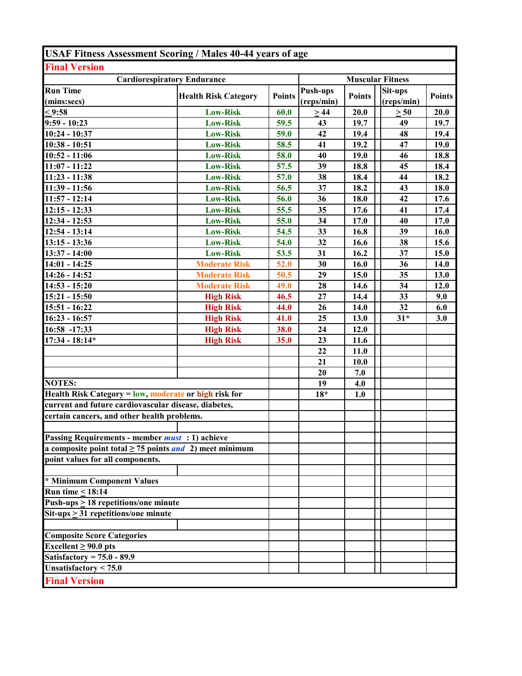| <b>Cardiorespiratory Endurance</b><br><b>Muscular Fitness</b><br><b>Push-ups</b><br>Sit-ups<br><b>Points</b><br><b>Points</b><br><b>Points</b><br><b>Health Risk Category</b><br>(reps/min)<br>(reps/min)<br>(mins:secs)<br>$\leq$ 9:58<br>60.0<br>20.0<br><b>Low-Risk</b><br>>44<br>20.0<br>$\geq 50$<br>$9:59 - 10:23$<br>59.5<br>43<br>19.7<br>49<br><b>Low-Risk</b><br>19.7<br>42<br>10:24 - 10:37<br><b>Low-Risk</b><br>59.0<br>19.4<br>48<br>19.4<br>$10:38 - 10:51$<br>41<br>19.2<br>47<br><b>Low-Risk</b><br>58.5<br>19.0<br>$10:52 - 11:06$<br><b>Low-Risk</b><br>58.0<br>40<br>19.0<br>18.8<br>46<br>$11:07 - 11:22$<br><b>Low-Risk</b><br>57.5<br>18.8<br>18.4<br>39<br>45<br><b>Low-Risk</b><br>57.0<br>38<br>18.4<br>44<br>18.2<br><b>Low-Risk</b><br>18.2<br>18.0<br>56.5<br>37<br>43<br><b>Low-Risk</b><br>56.0<br>36<br>18.0<br>42<br>17.6<br>55.5<br>35<br>17.6<br>41<br>17.4<br><b>Low-Risk</b><br><b>Low-Risk</b><br>34<br>17.0<br>40<br>55.0<br>17.0<br><b>Low-Risk</b><br>54.5<br>33<br>16.8<br>39<br>16.0<br><b>Low-Risk</b><br>32<br>15.6<br>54.0<br>16.6<br>38<br><b>Low-Risk</b><br>53.5<br>16.2<br>37<br>31<br>15.0<br>$14:01 - 14:25$<br><b>Moderate Risk</b><br>52.0<br>30<br>16.0<br>36<br>14.0<br>50.5<br>29<br>15.0<br>35<br><b>Moderate Risk</b><br>13.0<br>28<br>14.6<br>34<br>12.0<br><b>Moderate Risk</b><br>49.0<br>27<br>33<br>14.4<br>9.0<br><b>High Risk</b><br>46.5<br>32<br><b>High Risk</b><br>26<br>14.0<br>6.0<br>44.0<br><b>High Risk</b><br>25<br>41.0<br>13.0<br>$31*$<br>3.0<br><b>High Risk</b><br>38.0<br>24<br>12.0<br><b>High Risk</b><br>35.0<br>23<br>11.6<br>22<br>11.0<br>21<br>10.0<br>7.0<br>20<br>19<br>4.0<br>Health Risk Category = low, moderate or high risk for<br>$18*$<br>1.0<br>current and future cardiovascular disease, diabetes,<br>certain cancers, and other health problems.<br>Passing Requirements - member <i>must</i> : 1) achieve<br>a composite point total $\geq$ 75 points <i>and</i> 2) meet minimum<br>point values for all components.<br><b>Run time &lt; 18:14</b><br>Push-ups $\geq$ 18 repetitions/one minute<br>$Sit-ups > 31 repetitions/one minute$<br>Excellent $\geq 90.0$ pts<br>Satisfactory = $75.0 - 89.9$ | <b>USAF Fitness Assessment Scoring / Males 40-44 years of age</b> |  |  |  |
|--------------------------------------------------------------------------------------------------------------------------------------------------------------------------------------------------------------------------------------------------------------------------------------------------------------------------------------------------------------------------------------------------------------------------------------------------------------------------------------------------------------------------------------------------------------------------------------------------------------------------------------------------------------------------------------------------------------------------------------------------------------------------------------------------------------------------------------------------------------------------------------------------------------------------------------------------------------------------------------------------------------------------------------------------------------------------------------------------------------------------------------------------------------------------------------------------------------------------------------------------------------------------------------------------------------------------------------------------------------------------------------------------------------------------------------------------------------------------------------------------------------------------------------------------------------------------------------------------------------------------------------------------------------------------------------------------------------------------------------------------------------------------------------------------------------------------------------------------------------------------------------------------------------------------------------------------------------------------------------------------------------------------------------------------------------------------------------------------------------------------------------------------------------------------------------------------------------|-------------------------------------------------------------------|--|--|--|
|                                                                                                                                                                                                                                                                                                                                                                                                                                                                                                                                                                                                                                                                                                                                                                                                                                                                                                                                                                                                                                                                                                                                                                                                                                                                                                                                                                                                                                                                                                                                                                                                                                                                                                                                                                                                                                                                                                                                                                                                                                                                                                                                                                                                              | <b>Final Version</b>                                              |  |  |  |
|                                                                                                                                                                                                                                                                                                                                                                                                                                                                                                                                                                                                                                                                                                                                                                                                                                                                                                                                                                                                                                                                                                                                                                                                                                                                                                                                                                                                                                                                                                                                                                                                                                                                                                                                                                                                                                                                                                                                                                                                                                                                                                                                                                                                              |                                                                   |  |  |  |
|                                                                                                                                                                                                                                                                                                                                                                                                                                                                                                                                                                                                                                                                                                                                                                                                                                                                                                                                                                                                                                                                                                                                                                                                                                                                                                                                                                                                                                                                                                                                                                                                                                                                                                                                                                                                                                                                                                                                                                                                                                                                                                                                                                                                              | <b>Run Time</b>                                                   |  |  |  |
|                                                                                                                                                                                                                                                                                                                                                                                                                                                                                                                                                                                                                                                                                                                                                                                                                                                                                                                                                                                                                                                                                                                                                                                                                                                                                                                                                                                                                                                                                                                                                                                                                                                                                                                                                                                                                                                                                                                                                                                                                                                                                                                                                                                                              |                                                                   |  |  |  |
|                                                                                                                                                                                                                                                                                                                                                                                                                                                                                                                                                                                                                                                                                                                                                                                                                                                                                                                                                                                                                                                                                                                                                                                                                                                                                                                                                                                                                                                                                                                                                                                                                                                                                                                                                                                                                                                                                                                                                                                                                                                                                                                                                                                                              |                                                                   |  |  |  |
|                                                                                                                                                                                                                                                                                                                                                                                                                                                                                                                                                                                                                                                                                                                                                                                                                                                                                                                                                                                                                                                                                                                                                                                                                                                                                                                                                                                                                                                                                                                                                                                                                                                                                                                                                                                                                                                                                                                                                                                                                                                                                                                                                                                                              |                                                                   |  |  |  |
|                                                                                                                                                                                                                                                                                                                                                                                                                                                                                                                                                                                                                                                                                                                                                                                                                                                                                                                                                                                                                                                                                                                                                                                                                                                                                                                                                                                                                                                                                                                                                                                                                                                                                                                                                                                                                                                                                                                                                                                                                                                                                                                                                                                                              |                                                                   |  |  |  |
|                                                                                                                                                                                                                                                                                                                                                                                                                                                                                                                                                                                                                                                                                                                                                                                                                                                                                                                                                                                                                                                                                                                                                                                                                                                                                                                                                                                                                                                                                                                                                                                                                                                                                                                                                                                                                                                                                                                                                                                                                                                                                                                                                                                                              |                                                                   |  |  |  |
|                                                                                                                                                                                                                                                                                                                                                                                                                                                                                                                                                                                                                                                                                                                                                                                                                                                                                                                                                                                                                                                                                                                                                                                                                                                                                                                                                                                                                                                                                                                                                                                                                                                                                                                                                                                                                                                                                                                                                                                                                                                                                                                                                                                                              |                                                                   |  |  |  |
|                                                                                                                                                                                                                                                                                                                                                                                                                                                                                                                                                                                                                                                                                                                                                                                                                                                                                                                                                                                                                                                                                                                                                                                                                                                                                                                                                                                                                                                                                                                                                                                                                                                                                                                                                                                                                                                                                                                                                                                                                                                                                                                                                                                                              | $11:23 - 11:38$                                                   |  |  |  |
|                                                                                                                                                                                                                                                                                                                                                                                                                                                                                                                                                                                                                                                                                                                                                                                                                                                                                                                                                                                                                                                                                                                                                                                                                                                                                                                                                                                                                                                                                                                                                                                                                                                                                                                                                                                                                                                                                                                                                                                                                                                                                                                                                                                                              | 11:39 - 11:56                                                     |  |  |  |
|                                                                                                                                                                                                                                                                                                                                                                                                                                                                                                                                                                                                                                                                                                                                                                                                                                                                                                                                                                                                                                                                                                                                                                                                                                                                                                                                                                                                                                                                                                                                                                                                                                                                                                                                                                                                                                                                                                                                                                                                                                                                                                                                                                                                              | $11:57 - 12:14$                                                   |  |  |  |
|                                                                                                                                                                                                                                                                                                                                                                                                                                                                                                                                                                                                                                                                                                                                                                                                                                                                                                                                                                                                                                                                                                                                                                                                                                                                                                                                                                                                                                                                                                                                                                                                                                                                                                                                                                                                                                                                                                                                                                                                                                                                                                                                                                                                              | $12:15 - 12:33$                                                   |  |  |  |
|                                                                                                                                                                                                                                                                                                                                                                                                                                                                                                                                                                                                                                                                                                                                                                                                                                                                                                                                                                                                                                                                                                                                                                                                                                                                                                                                                                                                                                                                                                                                                                                                                                                                                                                                                                                                                                                                                                                                                                                                                                                                                                                                                                                                              | 12:34 - 12:53                                                     |  |  |  |
|                                                                                                                                                                                                                                                                                                                                                                                                                                                                                                                                                                                                                                                                                                                                                                                                                                                                                                                                                                                                                                                                                                                                                                                                                                                                                                                                                                                                                                                                                                                                                                                                                                                                                                                                                                                                                                                                                                                                                                                                                                                                                                                                                                                                              | $12:54 - 13:14$                                                   |  |  |  |
|                                                                                                                                                                                                                                                                                                                                                                                                                                                                                                                                                                                                                                                                                                                                                                                                                                                                                                                                                                                                                                                                                                                                                                                                                                                                                                                                                                                                                                                                                                                                                                                                                                                                                                                                                                                                                                                                                                                                                                                                                                                                                                                                                                                                              | $13:15 - 13:36$                                                   |  |  |  |
|                                                                                                                                                                                                                                                                                                                                                                                                                                                                                                                                                                                                                                                                                                                                                                                                                                                                                                                                                                                                                                                                                                                                                                                                                                                                                                                                                                                                                                                                                                                                                                                                                                                                                                                                                                                                                                                                                                                                                                                                                                                                                                                                                                                                              | 13:37 - 14:00                                                     |  |  |  |
|                                                                                                                                                                                                                                                                                                                                                                                                                                                                                                                                                                                                                                                                                                                                                                                                                                                                                                                                                                                                                                                                                                                                                                                                                                                                                                                                                                                                                                                                                                                                                                                                                                                                                                                                                                                                                                                                                                                                                                                                                                                                                                                                                                                                              |                                                                   |  |  |  |
|                                                                                                                                                                                                                                                                                                                                                                                                                                                                                                                                                                                                                                                                                                                                                                                                                                                                                                                                                                                                                                                                                                                                                                                                                                                                                                                                                                                                                                                                                                                                                                                                                                                                                                                                                                                                                                                                                                                                                                                                                                                                                                                                                                                                              | 14:26 - 14:52                                                     |  |  |  |
|                                                                                                                                                                                                                                                                                                                                                                                                                                                                                                                                                                                                                                                                                                                                                                                                                                                                                                                                                                                                                                                                                                                                                                                                                                                                                                                                                                                                                                                                                                                                                                                                                                                                                                                                                                                                                                                                                                                                                                                                                                                                                                                                                                                                              | $14:53 - 15:20$                                                   |  |  |  |
|                                                                                                                                                                                                                                                                                                                                                                                                                                                                                                                                                                                                                                                                                                                                                                                                                                                                                                                                                                                                                                                                                                                                                                                                                                                                                                                                                                                                                                                                                                                                                                                                                                                                                                                                                                                                                                                                                                                                                                                                                                                                                                                                                                                                              | 15:21 - 15:50                                                     |  |  |  |
|                                                                                                                                                                                                                                                                                                                                                                                                                                                                                                                                                                                                                                                                                                                                                                                                                                                                                                                                                                                                                                                                                                                                                                                                                                                                                                                                                                                                                                                                                                                                                                                                                                                                                                                                                                                                                                                                                                                                                                                                                                                                                                                                                                                                              | 15:51 - 16:22                                                     |  |  |  |
|                                                                                                                                                                                                                                                                                                                                                                                                                                                                                                                                                                                                                                                                                                                                                                                                                                                                                                                                                                                                                                                                                                                                                                                                                                                                                                                                                                                                                                                                                                                                                                                                                                                                                                                                                                                                                                                                                                                                                                                                                                                                                                                                                                                                              | $16:23 - 16:57$                                                   |  |  |  |
|                                                                                                                                                                                                                                                                                                                                                                                                                                                                                                                                                                                                                                                                                                                                                                                                                                                                                                                                                                                                                                                                                                                                                                                                                                                                                                                                                                                                                                                                                                                                                                                                                                                                                                                                                                                                                                                                                                                                                                                                                                                                                                                                                                                                              | 16:58 -17:33                                                      |  |  |  |
|                                                                                                                                                                                                                                                                                                                                                                                                                                                                                                                                                                                                                                                                                                                                                                                                                                                                                                                                                                                                                                                                                                                                                                                                                                                                                                                                                                                                                                                                                                                                                                                                                                                                                                                                                                                                                                                                                                                                                                                                                                                                                                                                                                                                              | $17:34 - 18:14*$                                                  |  |  |  |
|                                                                                                                                                                                                                                                                                                                                                                                                                                                                                                                                                                                                                                                                                                                                                                                                                                                                                                                                                                                                                                                                                                                                                                                                                                                                                                                                                                                                                                                                                                                                                                                                                                                                                                                                                                                                                                                                                                                                                                                                                                                                                                                                                                                                              |                                                                   |  |  |  |
|                                                                                                                                                                                                                                                                                                                                                                                                                                                                                                                                                                                                                                                                                                                                                                                                                                                                                                                                                                                                                                                                                                                                                                                                                                                                                                                                                                                                                                                                                                                                                                                                                                                                                                                                                                                                                                                                                                                                                                                                                                                                                                                                                                                                              |                                                                   |  |  |  |
|                                                                                                                                                                                                                                                                                                                                                                                                                                                                                                                                                                                                                                                                                                                                                                                                                                                                                                                                                                                                                                                                                                                                                                                                                                                                                                                                                                                                                                                                                                                                                                                                                                                                                                                                                                                                                                                                                                                                                                                                                                                                                                                                                                                                              |                                                                   |  |  |  |
|                                                                                                                                                                                                                                                                                                                                                                                                                                                                                                                                                                                                                                                                                                                                                                                                                                                                                                                                                                                                                                                                                                                                                                                                                                                                                                                                                                                                                                                                                                                                                                                                                                                                                                                                                                                                                                                                                                                                                                                                                                                                                                                                                                                                              | <b>NOTES:</b>                                                     |  |  |  |
|                                                                                                                                                                                                                                                                                                                                                                                                                                                                                                                                                                                                                                                                                                                                                                                                                                                                                                                                                                                                                                                                                                                                                                                                                                                                                                                                                                                                                                                                                                                                                                                                                                                                                                                                                                                                                                                                                                                                                                                                                                                                                                                                                                                                              |                                                                   |  |  |  |
|                                                                                                                                                                                                                                                                                                                                                                                                                                                                                                                                                                                                                                                                                                                                                                                                                                                                                                                                                                                                                                                                                                                                                                                                                                                                                                                                                                                                                                                                                                                                                                                                                                                                                                                                                                                                                                                                                                                                                                                                                                                                                                                                                                                                              |                                                                   |  |  |  |
|                                                                                                                                                                                                                                                                                                                                                                                                                                                                                                                                                                                                                                                                                                                                                                                                                                                                                                                                                                                                                                                                                                                                                                                                                                                                                                                                                                                                                                                                                                                                                                                                                                                                                                                                                                                                                                                                                                                                                                                                                                                                                                                                                                                                              |                                                                   |  |  |  |
|                                                                                                                                                                                                                                                                                                                                                                                                                                                                                                                                                                                                                                                                                                                                                                                                                                                                                                                                                                                                                                                                                                                                                                                                                                                                                                                                                                                                                                                                                                                                                                                                                                                                                                                                                                                                                                                                                                                                                                                                                                                                                                                                                                                                              |                                                                   |  |  |  |
|                                                                                                                                                                                                                                                                                                                                                                                                                                                                                                                                                                                                                                                                                                                                                                                                                                                                                                                                                                                                                                                                                                                                                                                                                                                                                                                                                                                                                                                                                                                                                                                                                                                                                                                                                                                                                                                                                                                                                                                                                                                                                                                                                                                                              |                                                                   |  |  |  |
|                                                                                                                                                                                                                                                                                                                                                                                                                                                                                                                                                                                                                                                                                                                                                                                                                                                                                                                                                                                                                                                                                                                                                                                                                                                                                                                                                                                                                                                                                                                                                                                                                                                                                                                                                                                                                                                                                                                                                                                                                                                                                                                                                                                                              |                                                                   |  |  |  |
|                                                                                                                                                                                                                                                                                                                                                                                                                                                                                                                                                                                                                                                                                                                                                                                                                                                                                                                                                                                                                                                                                                                                                                                                                                                                                                                                                                                                                                                                                                                                                                                                                                                                                                                                                                                                                                                                                                                                                                                                                                                                                                                                                                                                              |                                                                   |  |  |  |
|                                                                                                                                                                                                                                                                                                                                                                                                                                                                                                                                                                                                                                                                                                                                                                                                                                                                                                                                                                                                                                                                                                                                                                                                                                                                                                                                                                                                                                                                                                                                                                                                                                                                                                                                                                                                                                                                                                                                                                                                                                                                                                                                                                                                              |                                                                   |  |  |  |
|                                                                                                                                                                                                                                                                                                                                                                                                                                                                                                                                                                                                                                                                                                                                                                                                                                                                                                                                                                                                                                                                                                                                                                                                                                                                                                                                                                                                                                                                                                                                                                                                                                                                                                                                                                                                                                                                                                                                                                                                                                                                                                                                                                                                              | * Minimum Component Values                                        |  |  |  |
|                                                                                                                                                                                                                                                                                                                                                                                                                                                                                                                                                                                                                                                                                                                                                                                                                                                                                                                                                                                                                                                                                                                                                                                                                                                                                                                                                                                                                                                                                                                                                                                                                                                                                                                                                                                                                                                                                                                                                                                                                                                                                                                                                                                                              |                                                                   |  |  |  |
|                                                                                                                                                                                                                                                                                                                                                                                                                                                                                                                                                                                                                                                                                                                                                                                                                                                                                                                                                                                                                                                                                                                                                                                                                                                                                                                                                                                                                                                                                                                                                                                                                                                                                                                                                                                                                                                                                                                                                                                                                                                                                                                                                                                                              |                                                                   |  |  |  |
|                                                                                                                                                                                                                                                                                                                                                                                                                                                                                                                                                                                                                                                                                                                                                                                                                                                                                                                                                                                                                                                                                                                                                                                                                                                                                                                                                                                                                                                                                                                                                                                                                                                                                                                                                                                                                                                                                                                                                                                                                                                                                                                                                                                                              |                                                                   |  |  |  |
|                                                                                                                                                                                                                                                                                                                                                                                                                                                                                                                                                                                                                                                                                                                                                                                                                                                                                                                                                                                                                                                                                                                                                                                                                                                                                                                                                                                                                                                                                                                                                                                                                                                                                                                                                                                                                                                                                                                                                                                                                                                                                                                                                                                                              | <b>Composite Score Categories</b>                                 |  |  |  |
|                                                                                                                                                                                                                                                                                                                                                                                                                                                                                                                                                                                                                                                                                                                                                                                                                                                                                                                                                                                                                                                                                                                                                                                                                                                                                                                                                                                                                                                                                                                                                                                                                                                                                                                                                                                                                                                                                                                                                                                                                                                                                                                                                                                                              |                                                                   |  |  |  |
|                                                                                                                                                                                                                                                                                                                                                                                                                                                                                                                                                                                                                                                                                                                                                                                                                                                                                                                                                                                                                                                                                                                                                                                                                                                                                                                                                                                                                                                                                                                                                                                                                                                                                                                                                                                                                                                                                                                                                                                                                                                                                                                                                                                                              |                                                                   |  |  |  |
|                                                                                                                                                                                                                                                                                                                                                                                                                                                                                                                                                                                                                                                                                                                                                                                                                                                                                                                                                                                                                                                                                                                                                                                                                                                                                                                                                                                                                                                                                                                                                                                                                                                                                                                                                                                                                                                                                                                                                                                                                                                                                                                                                                                                              | Unsatisfactory $< 75.0$                                           |  |  |  |
|                                                                                                                                                                                                                                                                                                                                                                                                                                                                                                                                                                                                                                                                                                                                                                                                                                                                                                                                                                                                                                                                                                                                                                                                                                                                                                                                                                                                                                                                                                                                                                                                                                                                                                                                                                                                                                                                                                                                                                                                                                                                                                                                                                                                              | <b>Final Version</b>                                              |  |  |  |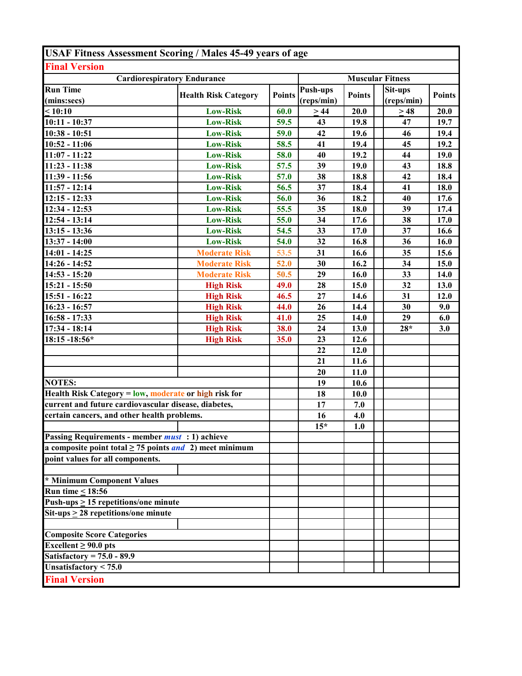| <b>USAF Fitness Assessment Scoring / Males 45-49 years of age</b>   |                             |               |                        |               |                         |               |  |  |
|---------------------------------------------------------------------|-----------------------------|---------------|------------------------|---------------|-------------------------|---------------|--|--|
| <b>Final Version</b>                                                |                             |               |                        |               |                         |               |  |  |
| <b>Cardiorespiratory Endurance</b>                                  |                             |               |                        |               | <b>Muscular Fitness</b> |               |  |  |
| <b>Run Time</b><br>(mins:secs)                                      | <b>Health Risk Category</b> | <b>Points</b> | Push-ups<br>(reps/min) | <b>Points</b> | Sit-ups<br>(reps/min)   | <b>Points</b> |  |  |
| < 10:10                                                             | <b>Low-Risk</b>             | 60.0          | >44                    | 20.0          | $\geq$ 48               | 20.0          |  |  |
| $10:11 - 10:37$                                                     | <b>Low-Risk</b>             | 59.5          | 43                     | 19.8          | 47                      | 19.7          |  |  |
| $10:38 - 10:51$                                                     | <b>Low-Risk</b>             | 59.0          | 42                     | 19.6          | 46                      | 19.4          |  |  |
| $10:52 - 11:06$                                                     | <b>Low-Risk</b>             | 58.5          | 41                     | 19.4          | 45                      | 19.2          |  |  |
| $11:07 - 11:22$                                                     | <b>Low-Risk</b>             | 58.0          | 40                     | 19.2          | 44                      | 19.0          |  |  |
| $11:23 - 11:38$                                                     | <b>Low-Risk</b>             | 57.5          | 39                     | 19.0          | 43                      | 18.8          |  |  |
| 11:39 - 11:56                                                       | <b>Low-Risk</b>             | 57.0          | 38                     | 18.8          | 42                      | 18.4          |  |  |
| $11:57 - 12:14$                                                     | <b>Low-Risk</b>             | 56.5          | 37                     | 18.4          | 41                      | 18.0          |  |  |
| $12:15 - 12:33$                                                     | <b>Low-Risk</b>             | 56.0          | 36                     | 18.2          | 40                      | 17.6          |  |  |
| $12:34 - 12:53$                                                     | <b>Low-Risk</b>             | 55.5          | 35                     | 18.0          | 39                      | 17.4          |  |  |
| $12:54 - 13:14$                                                     | <b>Low-Risk</b>             | 55.0          | 34                     | 17.6          | 38                      | 17.0          |  |  |
| $13:15 - 13:36$                                                     | <b>Low-Risk</b>             | 54.5          | 33                     | 17.0          | 37                      | 16.6          |  |  |
| 13:37 - 14:00                                                       | <b>Low-Risk</b>             | 54.0          | 32                     | 16.8          | 36                      | 16.0          |  |  |
| $14:01 - 14:25$                                                     | <b>Moderate Risk</b>        | 53.5          | 31                     | 16.6          | 35                      | 15.6          |  |  |
| 14:26 - 14:52                                                       | <b>Moderate Risk</b>        | 52.0          | 30                     | 16.2          | 34                      | 15.0          |  |  |
| $14:53 - 15:20$                                                     | <b>Moderate Risk</b>        | 50.5          | 29                     | 16.0          | 33                      | 14.0          |  |  |
| $15:21 - 15:50$                                                     | <b>High Risk</b>            | 49.0          | 28                     | 15.0          | 32                      | 13.0          |  |  |
| 15:51 - 16:22                                                       | <b>High Risk</b>            | 46.5          | 27                     | 14.6          | 31                      | 12.0          |  |  |
| $16:23 - 16:57$                                                     | <b>High Risk</b>            | 44.0          | 26                     | 14.4          | 30                      | 9.0           |  |  |
| $16:58 - 17:33$                                                     | <b>High Risk</b>            | 41.0          | 25                     | 14.0          | 29                      | 6.0           |  |  |
| 17:34 - 18:14                                                       | <b>High Risk</b>            | 38.0          | 24                     | 13.0          | $28*$                   | 3.0           |  |  |
| 18:15 -18:56*                                                       | <b>High Risk</b>            | 35.0          | 23                     | 12.6          |                         |               |  |  |
|                                                                     |                             |               | 22                     | 12.0          |                         |               |  |  |
|                                                                     |                             |               | 21                     | 11.6          |                         |               |  |  |
|                                                                     |                             |               | 20                     | 11.0          |                         |               |  |  |
| <b>NOTES:</b>                                                       |                             |               | 19                     | 10.6          |                         |               |  |  |
| Health Risk Category = low, moderate or high risk for               |                             |               | 18                     | 10.0          |                         |               |  |  |
| current and future cardiovascular disease, diabetes,                |                             |               | 17                     | 7.0           |                         |               |  |  |
| certain cancers, and other health problems.                         |                             |               | 16                     | 4.0           |                         |               |  |  |
|                                                                     |                             |               | $15*$                  | 1.0           |                         |               |  |  |
| Passing Requirements - member <i>must</i> : 1) achieve              |                             |               |                        |               |                         |               |  |  |
| a composite point total $\geq$ 75 points <i>and</i> 2) meet minimum |                             |               |                        |               |                         |               |  |  |
| point values for all components.                                    |                             |               |                        |               |                         |               |  |  |
| * Minimum Component Values                                          |                             |               |                        |               |                         |               |  |  |
| <b>Run time &lt; 18:56</b>                                          |                             |               |                        |               |                         |               |  |  |
| Push-ups $\geq$ 15 repetitions/one minute                           |                             |               |                        |               |                         |               |  |  |
| $Stt-ups \geq 28$ repetitions/one minute                            |                             |               |                        |               |                         |               |  |  |
| <b>Composite Score Categories</b>                                   |                             |               |                        |               |                         |               |  |  |
| Excellent $\geq 90.0$ pts                                           |                             |               |                        |               |                         |               |  |  |
| Satisfactory = $75.0 - 89.9$                                        |                             |               |                        |               |                         |               |  |  |
| Unsatisfactory $< 75.0$                                             |                             |               |                        |               |                         |               |  |  |
| <b>Final Version</b>                                                |                             |               |                        |               |                         |               |  |  |
|                                                                     |                             |               |                        |               |                         |               |  |  |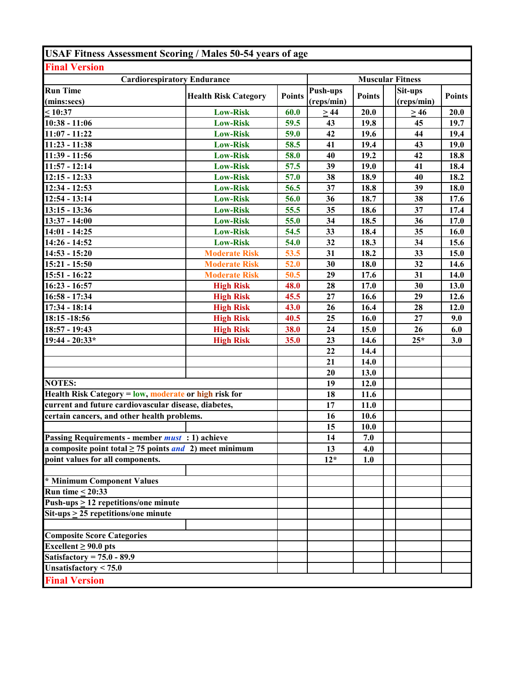| <b>USAF Fitness Assessment Scoring / Males 50-54 years of age</b>   |                             |               |                         |               |            |               |  |
|---------------------------------------------------------------------|-----------------------------|---------------|-------------------------|---------------|------------|---------------|--|
| <b>Final Version</b>                                                |                             |               |                         |               |            |               |  |
| <b>Cardiorespiratory Endurance</b>                                  |                             |               | <b>Muscular Fitness</b> |               |            |               |  |
| <b>Run Time</b>                                                     | <b>Health Risk Category</b> | <b>Points</b> | Push-ups                | <b>Points</b> | Sit-ups    | <b>Points</b> |  |
| (mins:secs)                                                         |                             |               | (reps/min)              |               | (reps/min) |               |  |
| $\leq 10:37$                                                        | <b>Low-Risk</b>             | 60.0          | $\geq$ 44               | 20.0          | >46        | 20.0          |  |
| $10:38 - 11:06$                                                     | <b>Low-Risk</b>             | 59.5          | 43                      | 19.8          | 45         | 19.7          |  |
| $11:07 - 11:22$                                                     | <b>Low-Risk</b>             | 59.0          | 42                      | 19.6          | 44         | 19.4          |  |
| 11:23 - 11:38                                                       | <b>Low-Risk</b>             | 58.5          | 41                      | 19.4          | 43         | 19.0          |  |
| 11:39 - 11:56                                                       | <b>Low-Risk</b>             | 58.0          | 40                      | 19.2          | 42         | 18.8          |  |
| $11:57 - 12:14$                                                     | <b>Low-Risk</b>             | 57.5          | 39                      | 19.0          | 41         | 18.4          |  |
| $12:15 - 12:33$                                                     | <b>Low-Risk</b>             | 57.0          | 38                      | 18.9          | 40         | 18.2          |  |
| $12:34 - 12:53$                                                     | <b>Low-Risk</b>             | 56.5          | 37                      | 18.8          | 39         | 18.0          |  |
| $12:54 - 13:14$                                                     | <b>Low-Risk</b>             | 56.0          | 36                      | 18.7          | 38         | 17.6          |  |
| $13:15 - 13:36$                                                     | <b>Low-Risk</b>             | 55.5          | 35                      | 18.6          | 37         | 17.4          |  |
| $13:37 - 14:00$                                                     | <b>Low-Risk</b>             | 55.0          | 34                      | 18.5          | 36         | 17.0          |  |
| $14:01 - 14:25$                                                     | <b>Low-Risk</b>             | 54.5          | 33                      | 18.4          | 35         | 16.0          |  |
| $14:26 - 14:52$                                                     | <b>Low-Risk</b>             | 54.0          | 32                      | 18.3          | 34         | 15.6          |  |
| $14:53 - 15:20$                                                     | <b>Moderate Risk</b>        | 53.5          | 31                      | 18.2          | 33         | 15.0          |  |
| $15:21 - 15:50$                                                     | <b>Moderate Risk</b>        | 52.0          | 30                      | 18.0          | 32         | 14.6          |  |
| 15:51 - 16:22                                                       | <b>Moderate Risk</b>        | 50.5          | 29                      | 17.6          | 31         | 14.0          |  |
| $16:23 - 16:57$                                                     | <b>High Risk</b>            | 48.0          | 28                      | 17.0          | 30         | 13.0          |  |
| 16:58 - 17:34                                                       | <b>High Risk</b>            | 45.5          | 27                      | 16.6          | 29         | 12.6          |  |
| $17:34 - 18:14$                                                     | <b>High Risk</b>            | 43.0          | 26                      | 16.4          | 28         | 12.0          |  |
| 18:15 - 18:56                                                       | <b>High Risk</b>            | 40.5          | 25                      | 16.0          | 27         | 9.0           |  |
| 18:57 - 19:43                                                       | <b>High Risk</b>            | 38.0          | 24                      | 15.0          | 26         | 6.0           |  |
| 19:44 - 20:33*                                                      | <b>High Risk</b>            | 35.0          | 23                      | 14.6          | $25*$      | 3.0           |  |
|                                                                     |                             |               | 22                      | 14.4          |            |               |  |
|                                                                     |                             |               | 21                      | 14.0          |            |               |  |
|                                                                     |                             |               | 20                      | 13.0          |            |               |  |
| <b>NOTES:</b>                                                       |                             |               | 19                      | 12.0          |            |               |  |
| Health Risk Category = low, moderate or high risk for               |                             |               | 18                      | 11.6          |            |               |  |
| current and future cardiovascular disease, diabetes,                |                             |               | 17                      | 11.0          |            |               |  |
| certain cancers, and other health problems.                         |                             |               | 16                      | 10.6          |            |               |  |
|                                                                     |                             |               | 15                      | 10.0          |            |               |  |
| Passing Requirements - member <i>must</i> : 1) achieve              |                             |               | 14                      | 7.0           |            |               |  |
| a composite point total $\geq$ 75 points <i>and</i> 2) meet minimum |                             |               | 13                      | 4.0           |            |               |  |
| point values for all components.                                    |                             |               | $12*$                   | 1.0           |            |               |  |
|                                                                     |                             |               |                         |               |            |               |  |
| * Minimum Component Values                                          |                             |               |                         |               |            |               |  |
| <b>Run time &lt; 20:33</b>                                          |                             |               |                         |               |            |               |  |
| Push-ups $\geq$ 12 repetitions/one minute                           |                             |               |                         |               |            |               |  |
| Sit-ups $\geq$ 25 repetitions/one minute                            |                             |               |                         |               |            |               |  |
|                                                                     |                             |               |                         |               |            |               |  |
| <b>Composite Score Categories</b>                                   |                             |               |                         |               |            |               |  |
| Excellent $\geq 90.0$ pts                                           |                             |               |                         |               |            |               |  |
| Satisfactory = $75.0 - 89.9$                                        |                             |               |                         |               |            |               |  |
| Unsatisfactory $< 75.0$                                             |                             |               |                         |               |            |               |  |
|                                                                     |                             |               |                         |               |            |               |  |
| <b>Final Version</b>                                                |                             |               |                         |               |            |               |  |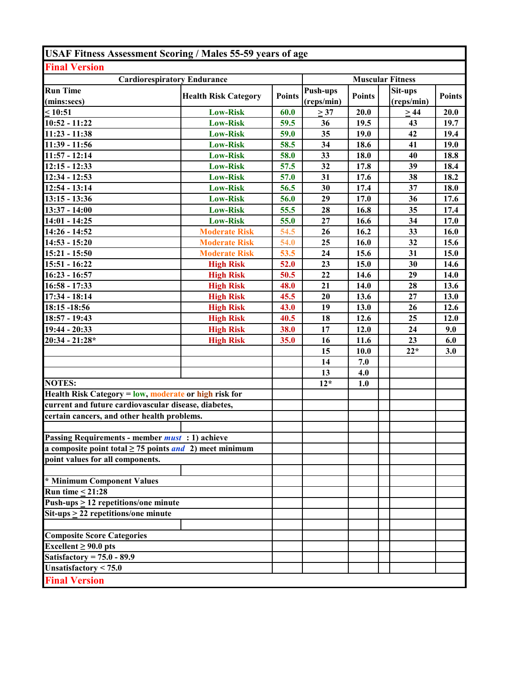| <b>USAF Fitness Assessment Scoring / Males 55-59 years of age</b>   |                             |               |                               |               |                       |               |  |
|---------------------------------------------------------------------|-----------------------------|---------------|-------------------------------|---------------|-----------------------|---------------|--|
| <b>Final Version</b>                                                |                             |               |                               |               |                       |               |  |
| <b>Cardiorespiratory Endurance</b>                                  |                             |               | <b>Muscular Fitness</b>       |               |                       |               |  |
| <b>Run Time</b><br>(mins:secs)                                      | <b>Health Risk Category</b> | <b>Points</b> | <b>Push-ups</b><br>(reps/min) | <b>Points</b> | Sit-ups<br>(reps/min) | <b>Points</b> |  |
| $\leq 10:51$                                                        | <b>Low-Risk</b>             | 60.0          | $\geq$ 37                     | 20.0          | >44                   | 20.0          |  |
| 10:52 - 11:22                                                       | <b>Low-Risk</b>             | 59.5          | 36                            | 19.5          | 43                    | 19.7          |  |
| $11:23 - 11:38$                                                     | <b>Low-Risk</b>             | 59.0          | 35                            | 19.0          | 42                    | 19.4          |  |
| 11:39 - 11:56                                                       | <b>Low-Risk</b>             | 58.5          | 34                            | 18.6          | 41                    | 19.0          |  |
| $11:57 - 12:14$                                                     | <b>Low-Risk</b>             | 58.0          | 33                            | 18.0          | 40                    | 18.8          |  |
| $12:15 - 12:33$                                                     | <b>Low-Risk</b>             | 57.5          | 32                            | 17.8          | 39                    | 18.4          |  |
| 12:34 - 12:53                                                       | <b>Low-Risk</b>             | 57.0          | 31                            | 17.6          | 38                    | 18.2          |  |
| $12:54 - 13:14$                                                     | <b>Low-Risk</b>             | 56.5          | 30                            | 17.4          | 37                    | 18.0          |  |
| $\overline{13:}15 - 13:36$                                          | <b>Low-Risk</b>             | 56.0          | 29                            | 17.0          | 36                    | 17.6          |  |
| 13:37 - 14:00                                                       | <b>Low-Risk</b>             | 55.5          | 28                            | 16.8          | 35                    | 17.4          |  |
| $14:01 - 14:25$                                                     | <b>Low-Risk</b>             | 55.0          | 27                            | 16.6          | 34                    | 17.0          |  |
| 14:26 - 14:52                                                       | <b>Moderate Risk</b>        | 54.5          | 26                            | 16.2          | 33                    | 16.0          |  |
| $14:53 - 15:20$                                                     | <b>Moderate Risk</b>        | 54.0          | 25                            | 16.0          | 32                    | 15.6          |  |
| $15:21 - 15:50$                                                     | <b>Moderate Risk</b>        | 53.5          | 24                            | 15.6          | 31                    | 15.0          |  |
| 15:51 - 16:22                                                       | <b>High Risk</b>            | 52.0          | 23                            | 15.0          | 30                    | 14.6          |  |
| $16:23 - 16:57$                                                     | <b>High Risk</b>            | 50.5          | 22                            | 14.6          | 29                    | 14.0          |  |
| $16:58 - 17:33$                                                     | <b>High Risk</b>            | 48.0          | 21                            | 14.0          | 28                    | 13.6          |  |
| 17:34 - 18:14                                                       | <b>High Risk</b>            | 45.5          | 20                            | 13.6          | 27                    | 13.0          |  |
| 18:15 - 18:56                                                       | <b>High Risk</b>            | 43.0          | 19                            | 13.0          | 26                    | 12.6          |  |
| 18:57 - 19:43                                                       | <b>High Risk</b>            | 40.5          | 18                            | 12.6          | 25                    | 12.0          |  |
| 19:44 - 20:33                                                       | <b>High Risk</b>            | 38.0          | 17                            | 12.0          | 24                    | 9.0           |  |
| $20:34 - 21:28*$                                                    | <b>High Risk</b>            | 35.0          | 16                            | 11.6          | 23                    | 6.0           |  |
|                                                                     |                             |               | 15                            | 10.0          | $22*$                 | 3.0           |  |
|                                                                     |                             |               | 14                            | 7.0           |                       |               |  |
|                                                                     |                             |               | 13                            | 4.0           |                       |               |  |
| <b>NOTES:</b>                                                       |                             |               | $12*$                         | 1.0           |                       |               |  |
| Health Risk Category = low, moderate or high risk for               |                             |               |                               |               |                       |               |  |
| current and future cardiovascular disease, diabetes,                |                             |               |                               |               |                       |               |  |
| certain cancers, and other health problems.                         |                             |               |                               |               |                       |               |  |
| Passing Requirements - member <i>must</i> : 1) achieve              |                             |               |                               |               |                       |               |  |
| a composite point total $\geq$ 75 points <i>and</i> 2) meet minimum |                             |               |                               |               |                       |               |  |
| point values for all components.                                    |                             |               |                               |               |                       |               |  |
|                                                                     |                             |               |                               |               |                       |               |  |
| * Minimum Component Values                                          |                             |               |                               |               |                       |               |  |
| <b>Run time &lt; 21:28</b>                                          |                             |               |                               |               |                       |               |  |
| Push-ups $\geq$ 12 repetitions/one minute                           |                             |               |                               |               |                       |               |  |
| $Sit-ups > 22$ repetitions/one minute                               |                             |               |                               |               |                       |               |  |
| <b>Composite Score Categories</b>                                   |                             |               |                               |               |                       |               |  |
| Excellent $\geq 90.0$ pts                                           |                             |               |                               |               |                       |               |  |
| Satisfactory = $75.0 - 89.9$                                        |                             |               |                               |               |                       |               |  |
| Unsatisfactory $\overline{<}$ 75.0                                  |                             |               |                               |               |                       |               |  |
| <b>Final Version</b>                                                |                             |               |                               |               |                       |               |  |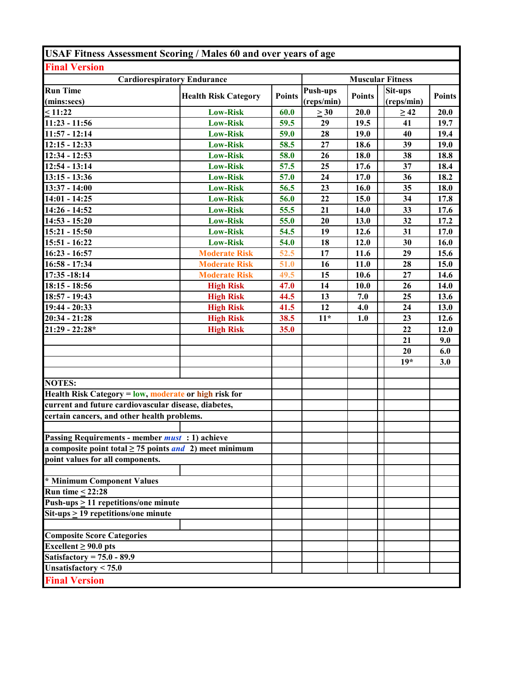| <b>USAF Fitness Assessment Scoring / Males 60 and over years of age</b> |                             |               |                         |               |                       |               |  |
|-------------------------------------------------------------------------|-----------------------------|---------------|-------------------------|---------------|-----------------------|---------------|--|
| <b>Final Version</b>                                                    |                             |               |                         |               |                       |               |  |
| <b>Cardiorespiratory Endurance</b>                                      |                             |               | <b>Muscular Fitness</b> |               |                       |               |  |
| <b>Run Time</b><br>(mins:secs)                                          | <b>Health Risk Category</b> | <b>Points</b> | Push-ups<br>(reps/min)  | <b>Points</b> | Sit-ups<br>(reps/min) | <b>Points</b> |  |
| < 11:22                                                                 | <b>Low-Risk</b>             | 60.0          | $\geq 30$               | 20.0          | $\geq 42$             | 20.0          |  |
| $11:23 - 11:56$                                                         | <b>Low-Risk</b>             | 59.5          | 29                      | 19.5          | 41                    | 19.7          |  |
| $11:57 - 12:14$                                                         | <b>Low-Risk</b>             | 59.0          | 28                      | 19.0          | 40                    | 19.4          |  |
| $12:15 - 12:33$                                                         | <b>Low-Risk</b>             | 58.5          | 27                      | 18.6          | 39                    | 19.0          |  |
| $\overline{12:}34 - 12:53$                                              | <b>Low-Risk</b>             | 58.0          | 26                      | 18.0          | 38                    | 18.8          |  |
| $12:54 - 13:14$                                                         | <b>Low-Risk</b>             | 57.5          | 25                      | 17.6          | 37                    | 18.4          |  |
| $13:15 - 13:36$                                                         | <b>Low-Risk</b>             | 57.0          | 24                      | 17.0          | 36                    | 18.2          |  |
| 13:37 - 14:00                                                           | <b>Low-Risk</b>             | 56.5          | 23                      | 16.0          | 35                    | 18.0          |  |
| $14:01 - 14:25$                                                         | <b>Low-Risk</b>             | 56.0          | 22                      | 15.0          | 34                    | 17.8          |  |
| 14:26 - 14:52                                                           | <b>Low-Risk</b>             | 55.5          | 21                      | 14.0          | 33                    | 17.6          |  |
| $14:53 - 15:20$                                                         | <b>Low-Risk</b>             | 55.0          | 20                      | 13.0          | 32                    | 17.2          |  |
| $15:21 - 15:50$                                                         | <b>Low-Risk</b>             | 54.5          | 19                      | 12.6          | 31                    | 17.0          |  |
| $15:51 - 16:22$                                                         | <b>Low-Risk</b>             | 54.0          | 18                      | 12.0          | 30                    | 16.0          |  |
| $16:23 - 16:57$                                                         | <b>Moderate Risk</b>        | 52.5          | 17                      | 11.6          | 29                    | 15.6          |  |
| 16:58 - 17:34                                                           | <b>Moderate Risk</b>        | 51.0          | 16                      | 11.0          | 28                    | 15.0          |  |
| 17:35 - 18:14                                                           | <b>Moderate Risk</b>        | 49.5          | 15                      | 10.6          | 27                    | 14.6          |  |
| $18:15 - 18:56$                                                         | <b>High Risk</b>            | 47.0          | 14                      | 10.0          | 26                    | 14.0          |  |
| 18:57 - 19:43                                                           | <b>High Risk</b>            | 44.5          | 13                      | 7.0           | 25                    | 13.6          |  |
| 19:44 - 20:33                                                           | <b>High Risk</b>            | 41.5          | 12                      | 4.0           | 24                    | 13.0          |  |
| $20:34 - 21:28$                                                         | <b>High Risk</b>            | 38.5          | $11*$                   | 1.0           | 23                    | 12.6          |  |
| $21:29 - 22:28*$                                                        | <b>High Risk</b>            | 35.0          |                         |               | 22                    | 12.0          |  |
|                                                                         |                             |               |                         |               | 21                    | 9.0           |  |
|                                                                         |                             |               |                         |               | 20                    | 6.0           |  |
|                                                                         |                             |               |                         |               | $19*$                 | 3.0           |  |
|                                                                         |                             |               |                         |               |                       |               |  |
| <b>NOTES:</b>                                                           |                             |               |                         |               |                       |               |  |
| Health Risk Category = low, moderate or high risk for                   |                             |               |                         |               |                       |               |  |
| current and future cardiovascular disease, diabetes,                    |                             |               |                         |               |                       |               |  |
| certain cancers, and other health problems.                             |                             |               |                         |               |                       |               |  |
| Passing Requirements - member <i>must</i> : 1) achieve                  |                             |               |                         |               |                       |               |  |
| a composite point total $\geq$ 75 points <i>and</i> 2) meet minimum     |                             |               |                         |               |                       |               |  |
| point values for all components.                                        |                             |               |                         |               |                       |               |  |
|                                                                         |                             |               |                         |               |                       |               |  |
| * Minimum Component Values                                              |                             |               |                         |               |                       |               |  |
| Run time $\leq$ 22:28                                                   |                             |               |                         |               |                       |               |  |
| Push-ups $\geq$ 11 repetitions/one minute                               |                             |               |                         |               |                       |               |  |
| $\overline{\text{Sit-ups}} \ge 19$ repetitions/one minute               |                             |               |                         |               |                       |               |  |
|                                                                         |                             |               |                         |               |                       |               |  |
| <b>Composite Score Categories</b>                                       |                             |               |                         |               |                       |               |  |
| Excellent $\geq 90.0$ pts                                               |                             |               |                         |               |                       |               |  |
| Satisfactory = $75.0 - 89.9$                                            |                             |               |                         |               |                       |               |  |
| Unsatisfactory < 75.0                                                   |                             |               |                         |               |                       |               |  |
| <b>Final Version</b>                                                    |                             |               |                         |               |                       |               |  |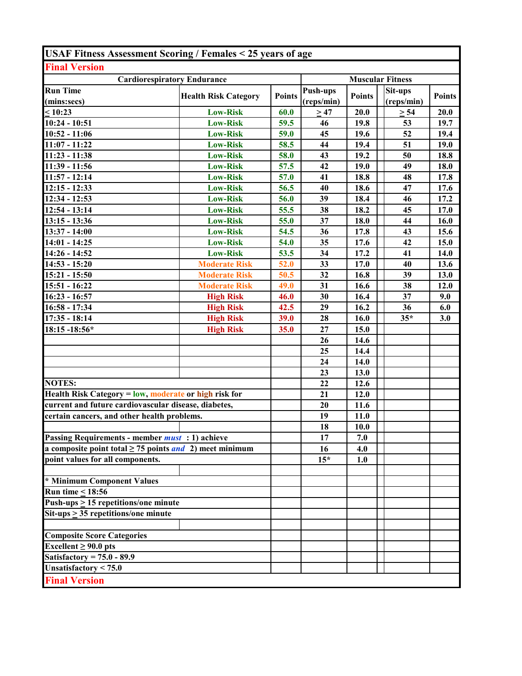| <b>USAF Fitness Assessment Scoring / Females &lt; 25 years of age</b> |                             |               |                 |                         |            |               |  |  |
|-----------------------------------------------------------------------|-----------------------------|---------------|-----------------|-------------------------|------------|---------------|--|--|
| <b>Final Version</b>                                                  |                             |               |                 |                         |            |               |  |  |
| <b>Cardiorespiratory Endurance</b>                                    |                             |               |                 | <b>Muscular Fitness</b> |            |               |  |  |
| <b>Run Time</b>                                                       |                             |               | <b>Push-ups</b> |                         | Sit-ups    |               |  |  |
| (mins:secs)                                                           | <b>Health Risk Category</b> | <b>Points</b> | (reps/min)      | <b>Points</b>           | (reps/min) | <b>Points</b> |  |  |
| < 10:23                                                               | <b>Low-Risk</b>             | 60.0          | $\geq$ 47       | 20.0                    | $\geq 54$  | 20.0          |  |  |
| $10:24 - 10:51$                                                       | <b>Low-Risk</b>             | 59.5          | 46              | 19.8                    | 53         | 19.7          |  |  |
| $10:52 - 11:06$                                                       | <b>Low-Risk</b>             | 59.0          | 45              | 19.6                    | 52         | 19.4          |  |  |
| $11:07 - 11:22$                                                       | <b>Low-Risk</b>             | 58.5          | 44              | 19.4                    | 51         | 19.0          |  |  |
| $11:23 - 11:38$                                                       | <b>Low-Risk</b>             | 58.0          | 43              | 19.2                    | 50         | 18.8          |  |  |
| 11:39 - 11:56                                                         | <b>Low-Risk</b>             | 57.5          | 42              | 19.0                    | 49         | 18.0          |  |  |
| $11:57 - 12:14$                                                       | <b>Low-Risk</b>             | 57.0          | 41              | 18.8                    | 48         | 17.8          |  |  |
| $12:15 - 12:33$                                                       | <b>Low-Risk</b>             | 56.5          | 40              | 18.6                    | 47         | 17.6          |  |  |
| $12:34 - 12:53$                                                       | <b>Low-Risk</b>             | 56.0          | 39              | 18.4                    | 46         | 17.2          |  |  |
| $12:54 - 13:14$                                                       | <b>Low-Risk</b>             | 55.5          | 38              | 18.2                    | 45         | 17.0          |  |  |
| $13:15 - 13:36$                                                       | <b>Low-Risk</b>             | 55.0          | 37              | 18.0                    | 44         | 16.0          |  |  |
| $13:37 - 14:00$                                                       | <b>Low-Risk</b>             | 54.5          | 36              | 17.8                    | 43         | 15.6          |  |  |
| $14:01 - 14:25$                                                       | <b>Low-Risk</b>             | 54.0          | 35              | 17.6                    | 42         | 15.0          |  |  |
| 14:26 - 14:52                                                         | <b>Low-Risk</b>             | 53.5          | 34              | 17.2                    | 41         | 14.0          |  |  |
| $14:53 - 15:20$                                                       | <b>Moderate Risk</b>        | 52.0          | 33              | 17.0                    | 40         | 13.6          |  |  |
| $15:21 - 15:50$                                                       | <b>Moderate Risk</b>        | 50.5          | 32              | 16.8                    | 39         | 13.0          |  |  |
| 15:51 - 16:22                                                         | <b>Moderate Risk</b>        | 49.0          | 31              | 16.6                    | 38         | 12.0          |  |  |
| $16:23 - 16:57$                                                       | <b>High Risk</b>            | 46.0          | 30              | 16.4                    | 37         | 9.0           |  |  |
| 16:58 - 17:34                                                         | <b>High Risk</b>            | 42.5          | 29              | 16.2                    | 36         | 6.0           |  |  |
| $17:35 - 18:14$                                                       | <b>High Risk</b>            | 39.0          | 28              | 16.0                    | $35*$      | 3.0           |  |  |
| 18:15 -18:56*                                                         | <b>High Risk</b>            | 35.0          | 27              | 15.0                    |            |               |  |  |
|                                                                       |                             |               | 26              | 14.6                    |            |               |  |  |
|                                                                       |                             |               | 25              | 14.4                    |            |               |  |  |
|                                                                       |                             |               | 24              | 14.0                    |            |               |  |  |
|                                                                       |                             |               | 23              | 13.0                    |            |               |  |  |
| <b>NOTES:</b>                                                         |                             |               | 22              | 12.6                    |            |               |  |  |
| Health Risk Category = low, moderate or high risk for                 |                             |               | 21              | 12.0                    |            |               |  |  |
| current and future cardiovascular disease, diabetes,                  |                             |               | 20              | 11.6                    |            |               |  |  |
| certain cancers, and other health problems.                           |                             |               | 19              | 11.0                    |            |               |  |  |
|                                                                       |                             |               | 18              | 10.0                    |            |               |  |  |
| Passing Requirements - member <i>must</i> : 1) achieve                |                             |               | 17              | 7.0                     |            |               |  |  |
| a composite point total $\geq$ 75 points <i>and</i> 2) meet minimum   |                             |               | 16              | 4.0                     |            |               |  |  |
| point values for all components.                                      |                             |               | $15*$           | 1.0                     |            |               |  |  |
|                                                                       |                             |               |                 |                         |            |               |  |  |
| * Minimum Component Values                                            |                             |               |                 |                         |            |               |  |  |
| Run time < $18:56$                                                    |                             |               |                 |                         |            |               |  |  |
| Push-ups $\geq$ 15 repetitions/one minute                             |                             |               |                 |                         |            |               |  |  |
| Sit-ups $\geq$ 35 repetitions/one minute                              |                             |               |                 |                         |            |               |  |  |
|                                                                       |                             |               |                 |                         |            |               |  |  |
| <b>Composite Score Categories</b>                                     |                             |               |                 |                         |            |               |  |  |
| Excellent $\geq 90.0$ pts                                             |                             |               |                 |                         |            |               |  |  |
| Satisfactory = $75.0 - 89.9$                                          |                             |               |                 |                         |            |               |  |  |
| Unsatisfactory $< 75.0$                                               |                             |               |                 |                         |            |               |  |  |
| <b>Final Version</b>                                                  |                             |               |                 |                         |            |               |  |  |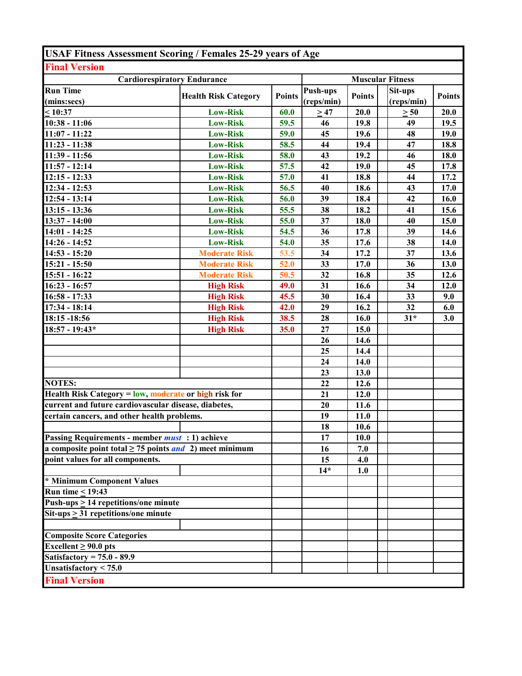| <b>USAF Fitness Assessment Scoring / Females 25-29 years of Age</b> |                             |               |                               |               |                         |               |
|---------------------------------------------------------------------|-----------------------------|---------------|-------------------------------|---------------|-------------------------|---------------|
| <b>Final Version</b>                                                |                             |               |                               |               |                         |               |
| <b>Cardiorespiratory Endurance</b>                                  |                             |               |                               |               | <b>Muscular Fitness</b> |               |
| <b>Run Time</b><br>(mins:secs)                                      | <b>Health Risk Category</b> | <b>Points</b> | <b>Push-ups</b><br>(reps/min) | <b>Points</b> | Sit-ups<br>(reps/min)   | <b>Points</b> |
| < 10:37                                                             | <b>Low-Risk</b>             | 60.0          | >47                           | 20.0          | $\geq 50$               | 20.0          |
| $10:38 - 11:06$                                                     | <b>Low-Risk</b>             | 59.5          | 46                            | 19.8          | 49                      | 19.5          |
| $11:07 - 11:22$                                                     | <b>Low-Risk</b>             | 59.0          | 45                            | 19.6          | 48                      | 19.0          |
| $11:23 - 11:38$                                                     | <b>Low-Risk</b>             | 58.5          | 44                            | 19.4          | 47                      | 18.8          |
| 11:39 - 11:56                                                       | <b>Low-Risk</b>             | 58.0          | 43                            | 19.2          | 46                      | 18.0          |
| $11:57 - 12:14$                                                     | <b>Low-Risk</b>             | 57.5          | 42                            | 19.0          | 45                      | 17.8          |
| $12:15 - 12:33$                                                     | <b>Low-Risk</b>             | 57.0          | 41                            | 18.8          | 44                      | 17.2          |
| $12:34 - 12:53$                                                     | <b>Low-Risk</b>             | 56.5          | 40                            | 18.6          | 43                      | 17.0          |
| $12:54 - 13:14$                                                     | <b>Low-Risk</b>             | 56.0          | 39                            | 18.4          | 42                      | 16.0          |
| $13:15 - 13:36$                                                     | <b>Low-Risk</b>             | 55.5          | 38                            | 18.2          | 41                      | 15.6          |
| 13:37 - 14:00                                                       | <b>Low-Risk</b>             | 55.0          | 37                            | 18.0          | 40                      | 15.0          |
| $14:01 - 14:25$                                                     | <b>Low-Risk</b>             | 54.5          | 36                            | 17.8          | 39                      | 14.6          |
| 14:26 - 14:52                                                       | <b>Low-Risk</b>             | 54.0          | 35                            | 17.6          | 38                      | 14.0          |
| $14:53 - 15:20$                                                     | <b>Moderate Risk</b>        | 53.5          | 34                            | 17.2          | 37                      | 13.6          |
| $15:21 - 15:50$                                                     | <b>Moderate Risk</b>        | 52.0          | 33                            | 17.0          | 36                      | 13.0          |
| 15:51 - 16:22                                                       | <b>Moderate Risk</b>        | 50.5          | 32                            | 16.8          | 35                      | 12.6          |
| $16:23 - 16:57$                                                     | <b>High Risk</b>            | 49.0          | 31                            | 16.6          | 34                      | 12.0          |
| $16:58 - 17:33$                                                     | <b>High Risk</b>            | 45.5          | 30                            | 16.4          | 33                      | 9.0           |
| 17:34 - 18:14                                                       | <b>High Risk</b>            | 42.0          | 29                            | 16.2          | 32                      | 6.0           |
| 18:15 - 18:56                                                       | <b>High Risk</b>            | 38.5          | 28                            | 16.0          | $31*$                   | 3.0           |
| 18:57 - 19:43*                                                      | <b>High Risk</b>            | 35.0          | 27                            | 15.0          |                         |               |
|                                                                     |                             |               | 26                            | 14.6          |                         |               |
|                                                                     |                             |               | 25                            | 14.4          |                         |               |
|                                                                     |                             |               | 24                            | 14.0          |                         |               |
|                                                                     |                             |               | 23                            | 13.0          |                         |               |
| <b>NOTES:</b>                                                       |                             |               | 22                            | 12.6          |                         |               |
| Health Risk Category = low, moderate or high risk for               |                             |               | 21                            | 12.0          |                         |               |
| current and future cardiovascular disease, diabetes,                |                             |               | 20                            | 11.6          |                         |               |
| certain cancers, and other health problems.                         |                             |               | 19                            | 11.0          |                         |               |
|                                                                     |                             |               | 18                            | 10.6          |                         |               |
| <b>Passing Requirements - member <i>must</i></b> : 1) achieve       |                             |               | 17                            | <b>10.0</b>   |                         |               |
| a composite point total $\geq$ 75 points <i>and</i> 2) meet minimum |                             |               | 16                            | 7.0           |                         |               |
| point values for all components.                                    |                             |               | 15                            | 4.0           |                         |               |
|                                                                     |                             |               | $14*$                         | 1.0           |                         |               |
| * Minimum Component Values                                          |                             |               |                               |               |                         |               |
| <b>Run time &lt; 19:43</b>                                          |                             |               |                               |               |                         |               |
| Push-ups > 14 repetitions/one minute                                |                             |               |                               |               |                         |               |
| $Sit-ups > 31 repetitions/one minute$                               |                             |               |                               |               |                         |               |
|                                                                     |                             |               |                               |               |                         |               |
| <b>Composite Score Categories</b>                                   |                             |               |                               |               |                         |               |
| Excellent $\geq 90.0$ pts                                           |                             |               |                               |               |                         |               |
| Satisfactory = $75.0 - 89.9$                                        |                             |               |                               |               |                         |               |
| Unsatisfactory < $75.0$                                             |                             |               |                               |               |                         |               |
| <b>Final Version</b>                                                |                             |               |                               |               |                         |               |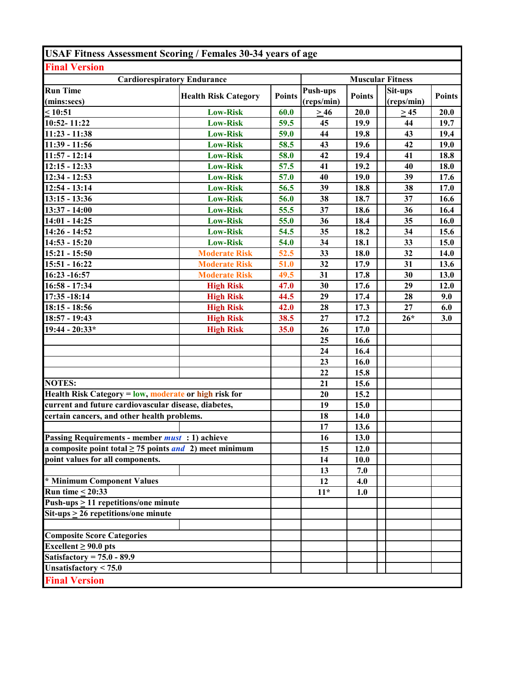| <b>USAF Fitness Assessment Scoring / Females 30-34 years of age</b> |                             |               |                         |               |            |               |  |
|---------------------------------------------------------------------|-----------------------------|---------------|-------------------------|---------------|------------|---------------|--|
| <b>Final Version</b>                                                |                             |               |                         |               |            |               |  |
| <b>Cardiorespiratory Endurance</b>                                  |                             |               | <b>Muscular Fitness</b> |               |            |               |  |
| <b>Run Time</b>                                                     | <b>Health Risk Category</b> | <b>Points</b> | Push-ups                | <b>Points</b> | Sit-ups    | <b>Points</b> |  |
| (mins:secs)                                                         |                             |               | (reps/min)              |               | (reps/min) |               |  |
| $\leq 10:51$                                                        | <b>Low-Risk</b>             | 60.0          | $\geq 46$               | 20.0          | $>45$      | 20.0          |  |
| 10:52-11:22                                                         | <b>Low-Risk</b>             | 59.5          | 45                      | 19.9          | 44         | 19.7          |  |
| $11:23 - 11:38$                                                     | <b>Low-Risk</b>             | 59.0          | 44                      | 19.8          | 43         | 19.4          |  |
| 11:39 - 11:56                                                       | <b>Low-Risk</b>             | 58.5          | 43                      | 19.6          | 42         | 19.0          |  |
| $11:57 - 12:14$                                                     | <b>Low-Risk</b>             | 58.0          | 42                      | 19.4          | 41         | 18.8          |  |
| $12:15 - 12:33$                                                     | <b>Low-Risk</b>             | 57.5          | 41                      | 19.2          | 40         | 18.0          |  |
| $12:34 - 12:53$                                                     | <b>Low-Risk</b>             | 57.0          | 40                      | 19.0          | 39         | 17.6          |  |
| $12:54 - 13:14$                                                     | <b>Low-Risk</b>             | 56.5          | 39                      | 18.8          | 38         | 17.0          |  |
| $13:15 - 13:36$                                                     | <b>Low-Risk</b>             | 56.0          | 38                      | 18.7          | 37         | 16.6          |  |
| 13:37 - 14:00                                                       | <b>Low-Risk</b>             | 55.5          | 37                      | 18.6          | 36         | 16.4          |  |
| $14:01 - 14:25$                                                     | <b>Low-Risk</b>             | 55.0          | 36                      | 18.4          | 35         | 16.0          |  |
| 14:26 - 14:52                                                       | <b>Low-Risk</b>             | 54.5          | 35                      | 18.2          | 34         | 15.6          |  |
| $14:53 - 15:20$                                                     | <b>Low-Risk</b>             | 54.0          | 34                      | 18.1          | 33         | 15.0          |  |
| 15:21 - 15:50                                                       | <b>Moderate Risk</b>        | 52.5          | 33                      | 18.0          | 32         | 14.0          |  |
| 15:51 - 16:22                                                       | <b>Moderate Risk</b>        | 51.0          | 32                      | 17.9          | 31         | 13.6          |  |
| 16:23 -16:57                                                        | <b>Moderate Risk</b>        | 49.5          | 31                      | 17.8          | 30         | 13.0          |  |
| $16:58 - 17:34$                                                     | <b>High Risk</b>            | 47.0          | 30                      | 17.6          | 29         | 12.0          |  |
| 17:35 - 18:14                                                       | <b>High Risk</b>            | 44.5          | 29                      | 17.4          | 28         | 9.0           |  |
| $18:15 - 18:56$                                                     | <b>High Risk</b>            | 42.0          | 28                      | 17.3          | 27         | 6.0           |  |
| 18:57 - 19:43                                                       | <b>High Risk</b>            | 38.5          | 27                      | 17.2          | $26*$      | 3.0           |  |
| 19:44 - 20:33*                                                      | <b>High Risk</b>            | 35.0          | 26                      | 17.0          |            |               |  |
|                                                                     |                             |               | 25                      | 16.6          |            |               |  |
|                                                                     |                             |               | 24                      | 16.4          |            |               |  |
|                                                                     |                             |               | 23                      | 16.0          |            |               |  |
|                                                                     |                             |               | 22                      | 15.8          |            |               |  |
| <b>NOTES:</b>                                                       |                             |               | 21                      | 15.6          |            |               |  |
| Health Risk Category = low, moderate or high risk for               |                             |               | 20                      | 15.2          |            |               |  |
| current and future cardiovascular disease, diabetes,                |                             |               | 19                      | 15.0          |            |               |  |
| certain cancers, and other health problems.                         |                             |               | 18                      | 14.0          |            |               |  |
|                                                                     |                             |               | 17                      | 13.6          |            |               |  |
| Passing Requirements - member <i>must</i> : 1) achieve              |                             |               | 16                      | 13.0          |            |               |  |
| a composite point total $\geq$ 75 points and 2) meet minimum        |                             |               | 15                      | 12.0          |            |               |  |
| point values for all components.                                    |                             |               | 14                      | 10.0          |            |               |  |
|                                                                     |                             |               | 13                      | 7.0           |            |               |  |
| * Minimum Component Values                                          |                             |               | 12                      | 4.0           |            |               |  |
| Run time $\leq 20:33$                                               |                             |               | $11*$                   | 1.0           |            |               |  |
| Push-ups $\geq$ 11 repetitions/one minute                           |                             |               |                         |               |            |               |  |
| $\overline{\text{Sit-ups}} \ge 26$ repetitions/one minute           |                             |               |                         |               |            |               |  |
|                                                                     |                             |               |                         |               |            |               |  |
| <b>Composite Score Categories</b>                                   |                             |               |                         |               |            |               |  |
| Excellent $\geq 90.0$ pts                                           |                             |               |                         |               |            |               |  |
| Satisfactory = $75.0 - 89.9$                                        |                             |               |                         |               |            |               |  |
| Unsatisfactory $< 75.0$                                             |                             |               |                         |               |            |               |  |
| <b>Final Version</b>                                                |                             |               |                         |               |            |               |  |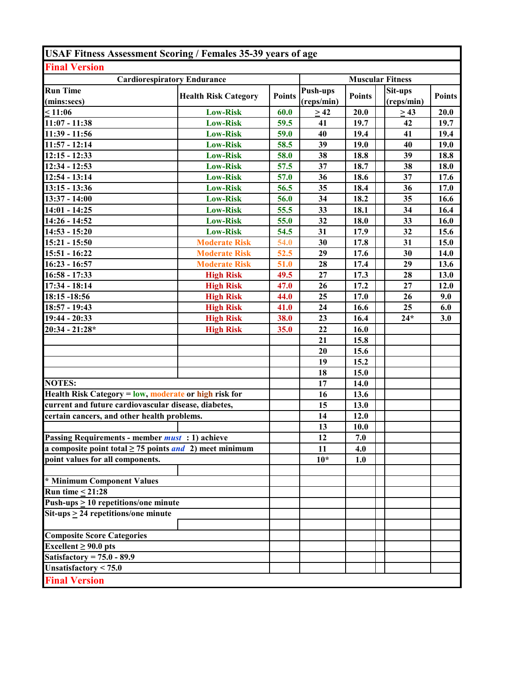| <b>USAF Fitness Assessment Scoring / Females 35-39 years of age</b> |                             |               |                         |               |                       |               |  |
|---------------------------------------------------------------------|-----------------------------|---------------|-------------------------|---------------|-----------------------|---------------|--|
| <b>Final Version</b>                                                |                             |               |                         |               |                       |               |  |
| <b>Cardiorespiratory Endurance</b>                                  |                             |               | <b>Muscular Fitness</b> |               |                       |               |  |
| <b>Run Time</b><br>(mins:secs)                                      | <b>Health Risk Category</b> | <b>Points</b> | Push-ups<br>(reps/min)  | <b>Points</b> | Sit-ups<br>(reps/min) | <b>Points</b> |  |
| < 11:06                                                             | <b>Low-Risk</b>             | 60.0          | >42                     | 20.0          | > 43                  | 20.0          |  |
| $11:07 - 11:38$                                                     | <b>Low-Risk</b>             | 59.5          | 41                      | 19.7          | 42                    | 19.7          |  |
| 11:39 - 11:56                                                       | <b>Low-Risk</b>             | 59.0          | 40                      | 19.4          | 41                    | 19.4          |  |
| $11:57 - 12:14$                                                     | <b>Low-Risk</b>             | 58.5          | 39                      | 19.0          | 40                    | 19.0          |  |
| $12:15 - 12:33$                                                     | <b>Low-Risk</b>             | 58.0          | 38                      | 18.8          | 39                    | 18.8          |  |
| 12:34 - 12:53                                                       | <b>Low-Risk</b>             | 57.5          | 37                      | 18.7          | 38                    | 18.0          |  |
| $12:54 - 13:14$                                                     | <b>Low-Risk</b>             | 57.0          | 36                      | 18.6          | 37                    | 17.6          |  |
| $13:15 - 13:36$                                                     | <b>Low-Risk</b>             | 56.5          | 35                      | 18.4          | 36                    | 17.0          |  |
| $\overline{13:}37 - 14:00$                                          | <b>Low-Risk</b>             | 56.0          | 34                      | 18.2          | 35                    | 16.6          |  |
| $14:01 - 14:25$                                                     | <b>Low-Risk</b>             | 55.5          | 33                      | 18.1          | 34                    | 16.4          |  |
| 14:26 - 14:52                                                       | <b>Low-Risk</b>             | 55.0          | 32                      | <b>18.0</b>   | 33                    | 16.0          |  |
| $14:53 - 15:20$                                                     | <b>Low-Risk</b>             | 54.5          | 31                      | 17.9          | 32                    | 15.6          |  |
| 15:21 - 15:50                                                       | <b>Moderate Risk</b>        | 54.0          | 30                      | 17.8          | 31                    | 15.0          |  |
| $15:51 - 16:22$                                                     | <b>Moderate Risk</b>        | 52.5          | 29                      | 17.6          | 30                    | 14.0          |  |
| $16:23 - 16:57$                                                     | <b>Moderate Risk</b>        | 51.0          | 28                      | 17.4          | 29                    | 13.6          |  |
| $16:58 - 17:33$                                                     | <b>High Risk</b>            | 49.5          | 27                      | 17.3          | 28                    | 13.0          |  |
| 17:34 - 18:14                                                       | <b>High Risk</b>            | 47.0          | 26                      | 17.2          | 27                    | 12.0          |  |
| 18:15 -18:56                                                        | <b>High Risk</b>            | 44.0          | 25                      | 17.0          | 26                    | 9.0           |  |
| 18:57 - 19:43                                                       | <b>High Risk</b>            | 41.0          | 24                      | 16.6          | 25                    | 6.0           |  |
| 19:44 - 20:33                                                       | <b>High Risk</b>            | 38.0          | 23                      | 16.4          | $24*$                 | 3.0           |  |
| $20:34 - 21:28*$                                                    | <b>High Risk</b>            | 35.0          | 22                      | 16.0          |                       |               |  |
|                                                                     |                             |               | 21                      | 15.8          |                       |               |  |
|                                                                     |                             |               | 20                      | 15.6          |                       |               |  |
|                                                                     |                             |               | 19                      | 15.2          |                       |               |  |
|                                                                     |                             |               | 18                      | 15.0          |                       |               |  |
| <b>NOTES:</b>                                                       |                             |               | 17                      | 14.0          |                       |               |  |
| Health Risk Category = low, moderate or high risk for               |                             |               | 16                      | 13.6          |                       |               |  |
| current and future cardiovascular disease, diabetes,                |                             |               | 15                      | 13.0          |                       |               |  |
| certain cancers, and other health problems.                         |                             |               | 14                      | 12.0          |                       |               |  |
|                                                                     |                             |               | 13                      | 10.0          |                       |               |  |
| Passing Requirements - member <i>must</i> : 1) achieve              |                             |               | 12                      | 7.0           |                       |               |  |
| a composite point total $\geq$ 75 points <i>and</i> 2) meet minimum |                             |               | 11                      | 4.0           |                       |               |  |
| point values for all components.                                    |                             |               | $10*$                   | 1.0           |                       |               |  |
| * Minimum Component Values                                          |                             |               |                         |               |                       |               |  |
| Run time $\leq 21:28$                                               |                             |               |                         |               |                       |               |  |
| Push-ups $\geq 10$ repetitions/one minute                           |                             |               |                         |               |                       |               |  |
| $Sit-ups > 24$ repetitions/one minute                               |                             |               |                         |               |                       |               |  |
| <b>Composite Score Categories</b>                                   |                             |               |                         |               |                       |               |  |
| Excellent $\geq 90.0$ pts                                           |                             |               |                         |               |                       |               |  |
| Satisfactory = $75.0 - 89.9$                                        |                             |               |                         |               |                       |               |  |
| Unsatisfactory < 75.0                                               |                             |               |                         |               |                       |               |  |
| <b>Final Version</b>                                                |                             |               |                         |               |                       |               |  |
|                                                                     |                             |               |                         |               |                       |               |  |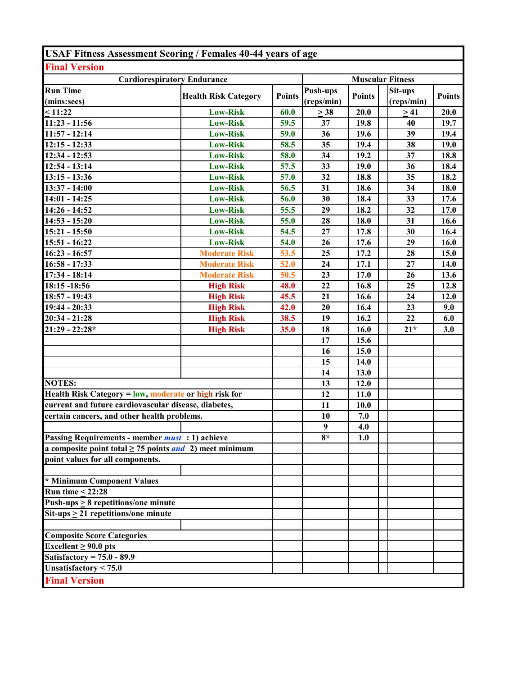| <b>USAF Fitness Assessment Scoring / Females 40-44 years of age</b> |                             |               |                        |               |                         |               |
|---------------------------------------------------------------------|-----------------------------|---------------|------------------------|---------------|-------------------------|---------------|
| <b>Final Version</b>                                                |                             |               |                        |               |                         |               |
| <b>Cardiorespiratory Endurance</b>                                  |                             |               |                        |               | <b>Muscular Fitness</b> |               |
| <b>Run Time</b><br>(mins:secs)                                      | <b>Health Risk Category</b> | <b>Points</b> | Push-ups<br>(reps/min) | <b>Points</b> | Sit-ups<br>(reps/min)   | <b>Points</b> |
| $\leq 11:22$                                                        | <b>Low-Risk</b>             | 60.0          | $\geq$ 38              | 20.0          | >41                     | 20.0          |
| $11:23 - 11:56$                                                     | <b>Low-Risk</b>             | 59.5          | 37                     | 19.8          | 40                      | 19.7          |
| $11:57 - 12:14$                                                     | <b>Low-Risk</b>             | 59.0          | 36                     | 19.6          | 39                      | 19.4          |
| $12:15 - 12:33$                                                     | <b>Low-Risk</b>             | 58.5          | 35                     | 19.4          | 38                      | 19.0          |
| 12:34 - 12:53                                                       | <b>Low-Risk</b>             | 58.0          | 34                     | 19.2          | 37                      | 18.8          |
| $12:54 - 13:14$                                                     | <b>Low-Risk</b>             | 57.5          | 33                     | 19.0          | 36                      | 18.4          |
| $13:15 - 13:36$                                                     | <b>Low-Risk</b>             | 57.0          | 32                     | 18.8          | 35                      | 18.2          |
| 13:37 - 14:00                                                       | <b>Low-Risk</b>             | 56.5          | 31                     | 18.6          | 34                      | 18.0          |
| $14:01 - 14:25$                                                     | <b>Low-Risk</b>             | 56.0          | 30                     | 18.4          | 33                      | 17.6          |
| 14:26 - 14:52                                                       | <b>Low-Risk</b>             | 55.5          | 29                     | 18.2          | 32                      | 17.0          |
| $14:53 - 15:20$                                                     | <b>Low-Risk</b>             | 55.0          | 28                     | 18.0          | 31                      | 16.6          |
| 15:21 - 15:50                                                       | <b>Low-Risk</b>             | 54.5          | 27                     | 17.8          | 30                      | 16.4          |
| $15:51 - 16:22$                                                     | <b>Low-Risk</b>             | 54.0          | 26                     | 17.6          | 29                      | 16.0          |
| $16:23 - 16:57$                                                     | <b>Moderate Risk</b>        | 53.5          | 25                     | 17.2          | 28                      | 15.0          |
| $16:58 - 17:33$                                                     | <b>Moderate Risk</b>        | 52.0          | 24                     | 17.1          | 27                      | <b>14.0</b>   |
| $17:34 - 18:14$                                                     | <b>Moderate Risk</b>        | 50.5          | 23                     | 17.0          | 26                      | 13.6          |
| 18:15 -18:56                                                        | <b>High Risk</b>            | 48.0          | 22                     | 16.8          | 25                      | 12.8          |
| 18:57 - 19:43                                                       | <b>High Risk</b>            | 45.5          | 21                     | 16.6          | 24                      | 12.0          |
| 19:44 - 20:33                                                       | <b>High Risk</b>            | 42.0          | 20                     | 16.4          | 23                      | 9.0           |
| $20:34 - 21:28$                                                     | <b>High Risk</b>            | 38.5          | 19                     | 16.2          | 22                      | 6.0           |
| $21:29 - 22:28*$                                                    | <b>High Risk</b>            | 35.0          | 18                     | 16.0          | $21*$                   | 3.0           |
|                                                                     |                             |               | 17                     | 15.6          |                         |               |
|                                                                     |                             |               | 16                     | 15.0          |                         |               |
|                                                                     |                             |               | 15                     | 14.0          |                         |               |
|                                                                     |                             |               | 14                     | 13.0          |                         |               |
| <b>NOTES:</b>                                                       |                             |               | 13                     | 12.0          |                         |               |
| Health Risk Category = low, moderate or high risk for               |                             |               | 12                     | 11.0          |                         |               |
| current and future cardiovascular disease, diabetes,                |                             |               | 11                     | 10.0          |                         |               |
| certain cancers, and other health problems.                         |                             |               | 10                     | 7.0           |                         |               |
|                                                                     |                             |               | $\boldsymbol{9}$       | 4.0           |                         |               |
| Passing Requirements - member <i>must</i> : 1) achieve              |                             |               | $8*$                   | 1.0           |                         |               |
| a composite point total $\geq$ 75 points <i>and</i> 2) meet minimum |                             |               |                        |               |                         |               |
| point values for all components.                                    |                             |               |                        |               |                         |               |
| * Minimum Component Values                                          |                             |               |                        |               |                         |               |
| Run time $\leq$ 22:28                                               |                             |               |                        |               |                         |               |
| Push-ups $\geq 8$ repetitions/one minute                            |                             |               |                        |               |                         |               |
| $\overline{\text{Sit-ups}} \ge 21$ repetitions/one minute           |                             |               |                        |               |                         |               |
|                                                                     |                             |               |                        |               |                         |               |
| <b>Composite Score Categories</b>                                   |                             |               |                        |               |                         |               |
| Excellent $\geq 90.0$ pts                                           |                             |               |                        |               |                         |               |
| Satisfactory = $75.0 - 89.9$                                        |                             |               |                        |               |                         |               |
| Unsatisfactory $< 75.0$                                             |                             |               |                        |               |                         |               |
| <b>Final Version</b>                                                |                             |               |                        |               |                         |               |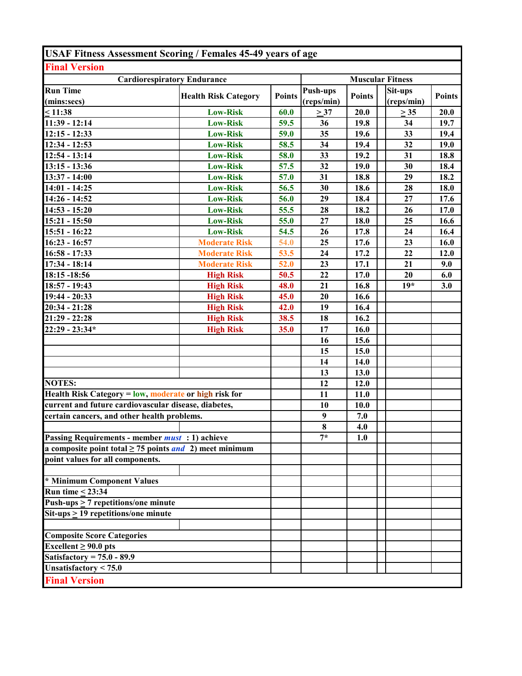| <b>USAF Fitness Assessment Scoring / Females 45-49 years of age</b> |                             |               |                  |               |                         |               |
|---------------------------------------------------------------------|-----------------------------|---------------|------------------|---------------|-------------------------|---------------|
| <b>Final Version</b>                                                |                             |               |                  |               |                         |               |
| <b>Cardiorespiratory Endurance</b>                                  |                             |               |                  |               | <b>Muscular Fitness</b> |               |
| <b>Run Time</b>                                                     |                             | <b>Points</b> | <b>Push-ups</b>  | <b>Points</b> | Sit-ups                 | <b>Points</b> |
| (mins:secs)                                                         | <b>Health Risk Category</b> |               | (reps/min)       |               | (reps/min)              |               |
| $\leq 11:38$                                                        | <b>Low-Risk</b>             | 60.0          | $\geq$ 37        | 20.0          | $\geq$ 35               | 20.0          |
| 11:39 - 12:14                                                       | <b>Low-Risk</b>             | 59.5          | 36               | 19.8          | 34                      | 19.7          |
| $12:15 - 12:33$                                                     | <b>Low-Risk</b>             | 59.0          | 35               | 19.6          | 33                      | 19.4          |
| $12:34 - 12:53$                                                     | <b>Low-Risk</b>             | 58.5          | 34               | 19.4          | 32                      | 19.0          |
| $12:54 - 13:14$                                                     | <b>Low-Risk</b>             | 58.0          | 33               | 19.2          | 31                      | 18.8          |
| $13:15 - 13:36$                                                     | <b>Low-Risk</b>             | 57.5          | 32               | 19.0          | 30                      | 18.4          |
| 13:37 - 14:00                                                       | <b>Low-Risk</b>             | 57.0          | 31               | 18.8          | 29                      | 18.2          |
| $14:01 - 14:25$                                                     | <b>Low-Risk</b>             | 56.5          | 30               | 18.6          | 28                      | 18.0          |
| 14:26 - 14:52                                                       | <b>Low-Risk</b>             | 56.0          | 29               | 18.4          | 27                      | 17.6          |
| $14:53 - 15:20$                                                     | <b>Low-Risk</b>             | 55.5          | 28               | 18.2          | 26                      | 17.0          |
| 15:21 - 15:50                                                       | <b>Low-Risk</b>             | 55.0          | 27               | 18.0          | 25                      | 16.6          |
| 15:51 - 16:22                                                       | <b>Low-Risk</b>             | 54.5          | 26               | 17.8          | 24                      | 16.4          |
| $16:23 - 16:57$                                                     | <b>Moderate Risk</b>        | 54.0          | 25               | 17.6          | 23                      | 16.0          |
| $16:58 - 17:33$                                                     | <b>Moderate Risk</b>        | 53.5          | 24               | 17.2          | 22                      | 12.0          |
| $17:34 - 18:14$                                                     | <b>Moderate Risk</b>        | 52.0          | 23               | 17.1          | 21                      | 9.0           |
| 18:15 - 18:56                                                       | <b>High Risk</b>            | 50.5          | 22               | 17.0          | 20                      | 6.0           |
| 18:57 - 19:43                                                       | <b>High Risk</b>            | 48.0          | 21               | 16.8          | $19*$                   | 3.0           |
| $19:44 - 20:33$                                                     | <b>High Risk</b>            | 45.0          | 20               | 16.6          |                         |               |
| $20:34 - 21:28$                                                     | <b>High Risk</b>            | 42.0          | 19               | 16.4          |                         |               |
| $21:29 - 22:28$                                                     | <b>High Risk</b>            | 38.5          | 18               | 16.2          |                         |               |
| $22:29 - 23:34*$                                                    | <b>High Risk</b>            | 35.0          | 17               | 16.0          |                         |               |
|                                                                     |                             |               | 16               | 15.6          |                         |               |
|                                                                     |                             |               | 15               | 15.0          |                         |               |
|                                                                     |                             |               | 14               | <b>14.0</b>   |                         |               |
|                                                                     |                             |               | 13               | 13.0          |                         |               |
| <b>NOTES:</b>                                                       |                             |               | 12               | 12.0          |                         |               |
| Health Risk Category = low, moderate or high risk for               |                             |               | 11               | 11.0          |                         |               |
| current and future cardiovascular disease, diabetes,                |                             |               | 10               | 10.0          |                         |               |
| certain cancers, and other health problems.                         |                             |               | $\boldsymbol{9}$ | 7.0           |                         |               |
|                                                                     |                             |               | 8                | 4.0           |                         |               |
| Passing Requirements - member <i>must</i> : 1) achieve              |                             |               | $7*$             | 1.0           |                         |               |
| a composite point total $\geq$ 75 points and 2) meet minimum        |                             |               |                  |               |                         |               |
| point values for all components.                                    |                             |               |                  |               |                         |               |
|                                                                     |                             |               |                  |               |                         |               |
| * Minimum Component Values                                          |                             |               |                  |               |                         |               |
| Run time $\leq$ 23:34                                               |                             |               |                  |               |                         |               |
| Push-ups $\geq$ 7 repetitions/one minute                            |                             |               |                  |               |                         |               |
| $\overline{\text{Sit-ups}} \ge 19$ repetitions/one minute           |                             |               |                  |               |                         |               |
|                                                                     |                             |               |                  |               |                         |               |
| <b>Composite Score Categories</b>                                   |                             |               |                  |               |                         |               |
| Excellent $\geq 90.0$ pts                                           |                             |               |                  |               |                         |               |
| Satisfactory = $75.0 - 89.9$                                        |                             |               |                  |               |                         |               |
| Unsatisfactory < $75.0$                                             |                             |               |                  |               |                         |               |
| <b>Final Version</b>                                                |                             |               |                  |               |                         |               |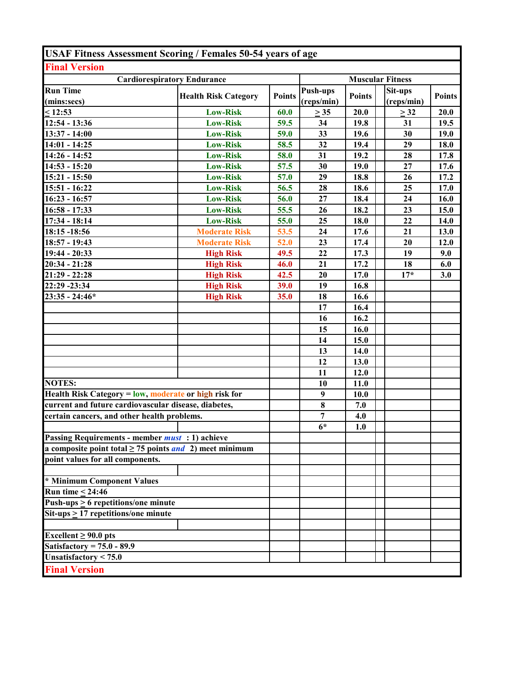| <b>USAF Fitness Assessment Scoring / Females 50-54 years of age</b> |                             |               |                         |               |                       |               |  |
|---------------------------------------------------------------------|-----------------------------|---------------|-------------------------|---------------|-----------------------|---------------|--|
| <b>Final Version</b>                                                |                             |               |                         |               |                       |               |  |
| <b>Cardiorespiratory Endurance</b>                                  |                             |               | <b>Muscular Fitness</b> |               |                       |               |  |
| <b>Run Time</b><br>(mins:secs)                                      | <b>Health Risk Category</b> | <b>Points</b> | Push-ups<br>(reps/min)  | <b>Points</b> | Sit-ups<br>(reps/min) | <b>Points</b> |  |
| < 12:53                                                             | <b>Low-Risk</b>             | 60.0          | $\geq$ 35               | 20.0          | $\geq$ 32             | 20.0          |  |
| 12:54 - 13:36                                                       | <b>Low-Risk</b>             | 59.5          | 34                      | 19.8          | 31                    | 19.5          |  |
| 13:37 - 14:00                                                       | <b>Low-Risk</b>             | 59.0          | 33                      | 19.6          | 30                    | 19.0          |  |
| $14:01 - 14:25$                                                     | <b>Low-Risk</b>             | 58.5          | 32                      | 19.4          | 29                    | 18.0          |  |
| $14:26 - 14:52$                                                     | <b>Low-Risk</b>             | 58.0          | 31                      | 19.2          | 28                    | 17.8          |  |
| $14:53 - 15:20$                                                     | <b>Low-Risk</b>             | 57.5          | 30                      | 19.0          | 27                    | 17.6          |  |
| 15:21 - 15:50                                                       | <b>Low-Risk</b>             | 57.0          | 29                      | 18.8          | 26                    | 17.2          |  |
| 15:51 - 16:22                                                       | <b>Low-Risk</b>             | 56.5          | 28                      | 18.6          | 25                    | 17.0          |  |
| $16:23 - 16:57$                                                     | <b>Low-Risk</b>             | 56.0          | 27                      | 18.4          | 24                    | 16.0          |  |
| $16:58 - 17:33$                                                     | <b>Low-Risk</b>             | 55.5          | 26                      | 18.2          | 23                    | 15.0          |  |
| $17:34 - 18:14$                                                     | <b>Low-Risk</b>             | 55.0          | 25                      | 18.0          | 22                    | 14.0          |  |
| 18:15 -18:56                                                        | <b>Moderate Risk</b>        | 53.5          | 24                      | 17.6          | 21                    | 13.0          |  |
| $18:57 - 19:43$                                                     | <b>Moderate Risk</b>        | 52.0          | 23                      | 17.4          | 20                    | 12.0          |  |
| $19:44 - 20:33$                                                     | <b>High Risk</b>            | 49.5          | 22                      | 17.3          | 19                    | 9.0           |  |
| $20:34 - 21:28$                                                     | <b>High Risk</b>            | 46.0          | 21                      | 17.2          | 18                    | 6.0           |  |
| $21:29 - 22:28$                                                     | <b>High Risk</b>            | 42.5          | 20                      | 17.0          | $17*$                 | 3.0           |  |
| 22:29 - 23:34                                                       | <b>High Risk</b>            | 39.0          | 19                      | 16.8          |                       |               |  |
| $23:35 - 24:46*$                                                    | <b>High Risk</b>            | 35.0          | 18                      | 16.6          |                       |               |  |
|                                                                     |                             |               | 17                      | 16.4          |                       |               |  |
|                                                                     |                             |               | 16                      | 16.2          |                       |               |  |
|                                                                     |                             |               | 15                      | 16.0          |                       |               |  |
|                                                                     |                             |               | 14                      | 15.0          |                       |               |  |
|                                                                     |                             |               | 13                      | 14.0          |                       |               |  |
|                                                                     |                             |               | 12                      | 13.0          |                       |               |  |
|                                                                     |                             |               | 11                      | 12.0          |                       |               |  |
| <b>NOTES:</b>                                                       |                             |               | 10                      | 11.0          |                       |               |  |
| Health Risk Category = low, moderate or high risk for               |                             |               | $\boldsymbol{9}$        | 10.0          |                       |               |  |
| current and future cardiovascular disease, diabetes,                |                             |               | $\bf{8}$                | 7.0           |                       |               |  |
| certain cancers, and other health problems.                         |                             |               | 7                       | 4.0           |                       |               |  |
|                                                                     |                             |               | $6*$                    | 1.0           |                       |               |  |
| Passing Requirements - member <i>must</i> : 1) achieve              |                             |               |                         |               |                       |               |  |
| a composite point total $\geq$ 75 points <i>and</i> 2) meet minimum |                             |               |                         |               |                       |               |  |
| point values for all components.                                    |                             |               |                         |               |                       |               |  |
| * Minimum Component Values                                          |                             |               |                         |               |                       |               |  |
| Run time $\leq 24:46$                                               |                             |               |                         |               |                       |               |  |
| Push-ups $\geq 6$ repetitions/one minute                            |                             |               |                         |               |                       |               |  |
| $\overline{\text{Sit-ups}} \ge 17$ repetitions/one minute           |                             |               |                         |               |                       |               |  |
|                                                                     |                             |               |                         |               |                       |               |  |
| Excellent $\geq 90.0$ pts                                           |                             |               |                         |               |                       |               |  |
| Satisfactory = $75.0 - 89.9$                                        |                             |               |                         |               |                       |               |  |
| Unsatisfactory $< 75.0$                                             |                             |               |                         |               |                       |               |  |
| <b>Final Version</b>                                                |                             |               |                         |               |                       |               |  |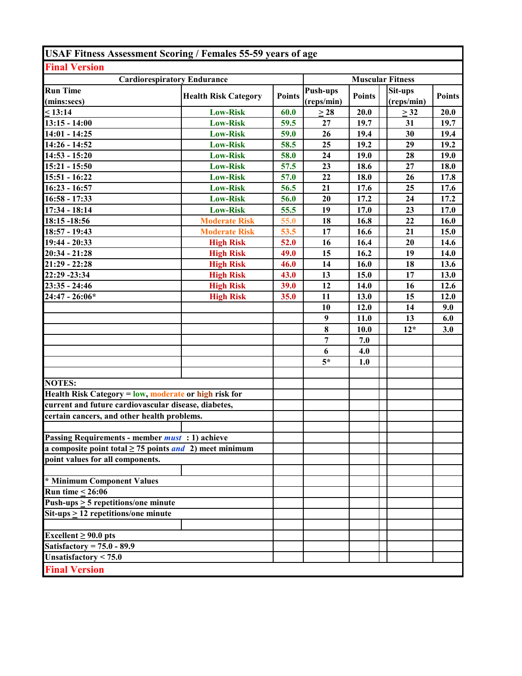| <b>USAF Fitness Assessment Scoring / Females 55-59 years of age</b> |                             |                         |                               |               |                       |               |
|---------------------------------------------------------------------|-----------------------------|-------------------------|-------------------------------|---------------|-----------------------|---------------|
| <b>Final Version</b>                                                |                             |                         |                               |               |                       |               |
| <b>Cardiorespiratory Endurance</b>                                  |                             | <b>Muscular Fitness</b> |                               |               |                       |               |
| <b>Run Time</b><br>(mins:secs)                                      | <b>Health Risk Category</b> | <b>Points</b>           | <b>Push-ups</b><br>(reps/min) | <b>Points</b> | Sit-ups<br>(reps/min) | <b>Points</b> |
| < 13:14                                                             | <b>Low-Risk</b>             | 60.0                    | $\geq$ 28                     | 20.0          | $\geq$ 32             | 20.0          |
| $13:15 - 14:00$                                                     | <b>Low-Risk</b>             | 59.5                    | 27                            | 19.7          | 31                    | 19.7          |
| $14:01 - 14:25$                                                     | <b>Low-Risk</b>             | 59.0                    | 26                            | 19.4          | 30                    | 19.4          |
| 14:26 - 14:52                                                       | <b>Low-Risk</b>             | 58.5                    | 25                            | 19.2          | 29                    | 19.2          |
| $14:53 - 15:20$                                                     | <b>Low-Risk</b>             | 58.0                    | 24                            | 19.0          | 28                    | 19.0          |
| $15:21 - 15:50$                                                     | <b>Low-Risk</b>             | 57.5                    | 23                            | 18.6          | 27                    | 18.0          |
| $15:51 - 16:22$                                                     | <b>Low-Risk</b>             | 57.0                    | 22                            | 18.0          | 26                    | 17.8          |
| $16:23 - 16:57$                                                     | <b>Low-Risk</b>             | 56.5                    | 21                            | 17.6          | 25                    | 17.6          |
| $16:58 - 17:33$                                                     | <b>Low-Risk</b>             | 56.0                    | 20                            | 17.2          | 24                    | 17.2          |
| 17:34 - 18:14                                                       | <b>Low-Risk</b>             | 55.5                    | 19                            | 17.0          | 23                    | 17.0          |
| 18:15 -18:56                                                        | <b>Moderate Risk</b>        | 55.0                    | 18                            | 16.8          | 22                    | 16.0          |
| 18:57 - 19:43                                                       | <b>Moderate Risk</b>        | 53.5                    | 17                            | 16.6          | 21                    | 15.0          |
| 19:44 - 20:33                                                       | <b>High Risk</b>            | 52.0                    | 16                            | 16.4          | 20                    | 14.6          |
| $20:34 - 21:28$                                                     | <b>High Risk</b>            | 49.0                    | 15                            | 16.2          | 19                    | 14.0          |
| $21:29 - 22:28$                                                     | <b>High Risk</b>            | 46.0                    | 14                            | 16.0          | 18                    | 13.6          |
| 22:29 - 23:34                                                       | <b>High Risk</b>            | 43.0                    | 13                            | 15.0          | 17                    | 13.0          |
| $23:35 - 24:46$                                                     | <b>High Risk</b>            | 39.0                    | 12                            | 14.0          | 16                    | 12.6          |
| $24:47 - 26:06*$                                                    | <b>High Risk</b>            | 35.0                    | 11                            | 13.0          | 15                    | 12.0          |
|                                                                     |                             |                         | 10                            | 12.0          | 14                    | 9.0           |
|                                                                     |                             |                         | $\boldsymbol{9}$              | 11.0          | 13                    | 6.0           |
|                                                                     |                             |                         | $\bf{8}$                      | 10.0          | $12*$                 | 3.0           |
|                                                                     |                             |                         | $\overline{7}$                | 7.0           |                       |               |
|                                                                     |                             |                         | 6                             | 4.0           |                       |               |
|                                                                     |                             |                         | $5^*$                         | 1.0           |                       |               |
|                                                                     |                             |                         |                               |               |                       |               |
| <b>NOTES:</b>                                                       |                             |                         |                               |               |                       |               |
| Health Risk Category = low, moderate or high risk for               |                             |                         |                               |               |                       |               |
| current and future cardiovascular disease, diabetes,                |                             |                         |                               |               |                       |               |
| certain cancers, and other health problems.                         |                             |                         |                               |               |                       |               |
|                                                                     |                             |                         |                               |               |                       |               |
| <b>Passing Requirements - member <i>must</i></b> : 1) achieve       |                             |                         |                               |               |                       |               |
| a composite point total $\geq$ 75 points <i>and</i> 2) meet minimum |                             |                         |                               |               |                       |               |
| point values for all components.                                    |                             |                         |                               |               |                       |               |
| * Minimum Component Values                                          |                             |                         |                               |               |                       |               |
| Run time $< 26:06$                                                  |                             |                         |                               |               |                       |               |
| Push-ups $\geq$ 5 repetitions/one minute                            |                             |                         |                               |               |                       |               |
| $\overline{\text{Sit-ups}} \ge 12$ repetitions/one minute           |                             |                         |                               |               |                       |               |
|                                                                     |                             |                         |                               |               |                       |               |
| Excellent $\geq 90.0$ pts                                           |                             |                         |                               |               |                       |               |
| Satisfactory = $75.0 - 89.9$                                        |                             |                         |                               |               |                       |               |
| Unsatisfactory $< 75.0$                                             |                             |                         |                               |               |                       |               |
| <b>Final Version</b>                                                |                             |                         |                               |               |                       |               |
|                                                                     |                             |                         |                               |               |                       |               |